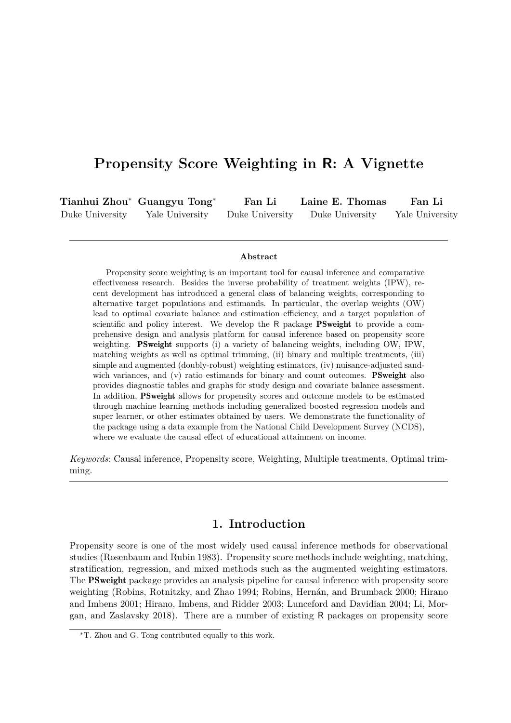# **Propensity Score Weighting in R: A Vignette**

|                 | Tianhui Zhou* Guangyu Tong* | Fan Li          | Laine E. Thomas | Fan Li          |
|-----------------|-----------------------------|-----------------|-----------------|-----------------|
| Duke University | Yale University             | Duke University | Duke University | Yale University |

#### **Abstract**

Propensity score weighting is an important tool for causal inference and comparative effectiveness research. Besides the inverse probability of treatment weights (IPW), recent development has introduced a general class of balancing weights, corresponding to alternative target populations and estimands. In particular, the overlap weights (OW) lead to optimal covariate balance and estimation efficiency, and a target population of scientific and policy interest. We develop the R package PSweight to provide a comprehensive design and analysis platform for causal inference based on propensity score weighting. PSweight supports (i) a variety of balancing weights, including OW, IPW, matching weights as well as optimal trimming, (ii) binary and multiple treatments, (iii) simple and augmented (doubly-robust) weighting estimators, (iv) nuisance-adjusted sandwich variances, and (v) ratio estimands for binary and count outcomes. **PSweight** also provides diagnostic tables and graphs for study design and covariate balance assessment. In addition, PSweight allows for propensity scores and outcome models to be estimated through machine learning methods including generalized boosted regression models and super learner, or other estimates obtained by users. We demonstrate the functionality of the package using a data example from the National Child Development Survey (NCDS), where we evaluate the causal effect of educational attainment on income.

*Keywords*: Causal inference, Propensity score, Weighting, Multiple treatments, Optimal trimming.

## **1. Introduction**

Propensity score is one of the most widely used causal inference methods for observational studies (Rosenbaum and Rubin 1983). Propensity score methods include weighting, matching, stratification, regression, and mixed methods such as the augmented weighting estimators. The PSweight package provides an analysis pipeline for causal inference with propensity score weighting (Robins, Rotnitzky, and Zhao 1994; Robins, Hernán, and Brumback 2000; Hirano and Imbens 2001; Hirano, Imbens, and Ridder 2003; Lunceford and Davidian 2004; Li, Morgan, and Zaslavsky 2018). There are a number of existing R packages on propensity score

<sup>∗</sup>T. Zhou and G. Tong contributed equally to this work.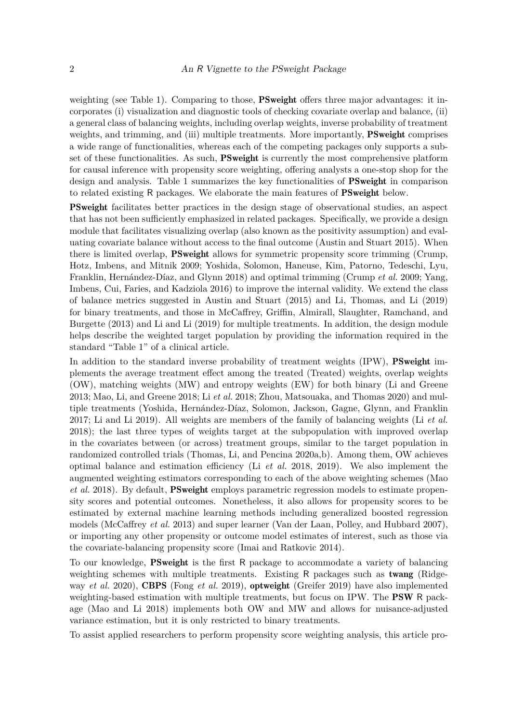weighting (see Table 1). Comparing to those, **PSweight** offers three major advantages: it incorporates (i) visualization and diagnostic tools of checking covariate overlap and balance, (ii) a general class of balancing weights, including overlap weights, inverse probability of treatment weights, and trimming, and (iii) multiple treatments. More importantly, **PSweight** comprises a wide range of functionalities, whereas each of the competing packages only supports a subset of these functionalities. As such, **PSweight** is currently the most comprehensive platform for causal inference with propensity score weighting, offering analysts a one-stop shop for the design and analysis. Table 1 summarizes the key functionalities of **PSweight** in comparison to related existing R packages. We elaborate the main features of PSweight below.

PSweight facilitates better practices in the design stage of observational studies, an aspect that has not been sufficiently emphasized in related packages. Specifically, we provide a design module that facilitates visualizing overlap (also known as the positivity assumption) and evaluating covariate balance without access to the final outcome (Austin and Stuart 2015). When there is limited overlap, PSweight allows for symmetric propensity score trimming (Crump, Hotz, Imbens, and Mitnik 2009; Yoshida, Solomon, Haneuse, Kim, Patorno, Tedeschi, Lyu, Franklin, Hernández-Díaz, and Glynn 2018) and optimal trimming (Crump *et al.* 2009; Yang, Imbens, Cui, Faries, and Kadziola 2016) to improve the internal validity. We extend the class of balance metrics suggested in Austin and Stuart (2015) and Li, Thomas, and Li (2019) for binary treatments, and those in McCaffrey, Griffin, Almirall, Slaughter, Ramchand, and Burgette (2013) and Li and Li (2019) for multiple treatments. In addition, the design module helps describe the weighted target population by providing the information required in the standard "Table 1" of a clinical article.

In addition to the standard inverse probability of treatment weights (IPW), **PSweight** implements the average treatment effect among the treated (Treated) weights, overlap weights (OW), matching weights (MW) and entropy weights (EW) for both binary (Li and Greene 2013; Mao, Li, and Greene 2018; Li *et al.* 2018; Zhou, Matsouaka, and Thomas 2020) and multiple treatments (Yoshida, Hernández-Díaz, Solomon, Jackson, Gagne, Glynn, and Franklin 2017; Li and Li 2019). All weights are members of the family of balancing weights (Li *et al.* 2018); the last three types of weights target at the subpopulation with improved overlap in the covariates between (or across) treatment groups, similar to the target population in randomized controlled trials (Thomas, Li, and Pencina 2020a,b). Among them, OW achieves optimal balance and estimation efficiency (Li *et al.* 2018, 2019). We also implement the augmented weighting estimators corresponding to each of the above weighting schemes (Mao *et al.* 2018). By default, PSweight employs parametric regression models to estimate propensity scores and potential outcomes. Nonetheless, it also allows for propensity scores to be estimated by external machine learning methods including generalized boosted regression models (McCaffrey *et al.* 2013) and super learner (Van der Laan, Polley, and Hubbard 2007), or importing any other propensity or outcome model estimates of interest, such as those via the covariate-balancing propensity score (Imai and Ratkovic 2014).

To our knowledge, PSweight is the first R package to accommodate a variety of balancing weighting schemes with multiple treatments. Existing R packages such as twang (Ridgeway *et al.* 2020), CBPS (Fong *et al.* 2019), optweight (Greifer 2019) have also implemented weighting-based estimation with multiple treatments, but focus on IPW. The **PSW** R package (Mao and Li 2018) implements both OW and MW and allows for nuisance-adjusted variance estimation, but it is only restricted to binary treatments.

To assist applied researchers to perform propensity score weighting analysis, this article pro-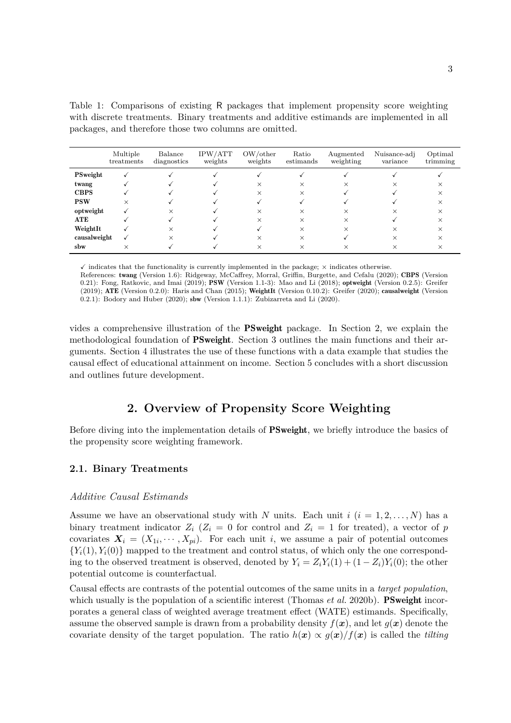Table 1: Comparisons of existing R packages that implement propensity score weighting with discrete treatments. Binary treatments and additive estimands are implemented in all packages, and therefore those two columns are omitted.

|              | Multiple<br>treatments | Balance<br>diagnostics | IPW/ATT<br>weights | OW/other<br>weights | Ratio<br>estimands | Augmented<br>weighting | Nuisance-adj<br>variance | Optimal<br>trimming |
|--------------|------------------------|------------------------|--------------------|---------------------|--------------------|------------------------|--------------------------|---------------------|
| PSweight     | √                      |                        |                    |                     |                    |                        |                          |                     |
| twang        |                        |                        |                    | X                   | $\times$           |                        | ×                        |                     |
| <b>CBPS</b>  |                        |                        |                    | $\times$            | $\times$           |                        |                          |                     |
| <b>PSW</b>   | $\times$               |                        |                    |                     |                    |                        |                          |                     |
| optweight    |                        | $\times$               |                    | $\times$            | $\times$           |                        | ×                        |                     |
| <b>ATE</b>   |                        |                        |                    | $\times$            | $\times$           |                        |                          |                     |
| WeightIt     |                        | $\times$               |                    |                     | $\times$           | ×                      | X                        |                     |
| causalweight |                        | $\times$               |                    | ×                   | ×                  |                        | ×                        |                     |
| sbw          | $\times$               |                        |                    | $\times$            | ×                  |                        | ×                        |                     |

 $\checkmark$  indicates that the functionality is currently implemented in the package;  $\times$  indicates otherwise.

References: twang (Version 1.6): Ridgeway, McCaffrey, Morral, Griffin, Burgette, and Cefalu (2020); CBPS (Version 0.21): Fong, Ratkovic, and Imai (2019); PSW (Version 1.1-3): Mao and Li (2018); optweight (Version 0.2.5): Greifer (2019); ATE (Version 0.2.0): Haris and Chan (2015); WeightIt (Version 0.10.2): Greifer (2020); causalweight (Version  $(0.2.1)$ : Bodory and Huber (2020); sbw (Version 1.1.1): Zubizarreta and Li (2020).

vides a comprehensive illustration of the PSweight package. In Section 2, we explain the methodological foundation of PSweight. Section 3 outlines the main functions and their arguments. Section 4 illustrates the use of these functions with a data example that studies the causal effect of educational attainment on income. Section 5 concludes with a short discussion and outlines future development.

## **2. Overview of Propensity Score Weighting**

Before diving into the implementation details of **PSweight**, we briefly introduce the basics of the propensity score weighting framework.

### **2.1. Binary Treatments**

#### *Additive Causal Estimands*

Assume we have an observational study with *N* units. Each unit  $i$   $(i = 1, 2, \ldots, N)$  has a binary treatment indicator  $Z_i$  ( $Z_i = 0$  for control and  $Z_i = 1$  for treated), a vector of *p* covariates  $X_i = (X_{1i}, \dots, X_{pi})$ . For each unit *i*, we assume a pair of potential outcomes  ${Y_i(1), Y_i(0)}$  mapped to the treatment and control status, of which only the one corresponding to the observed treatment is observed, denoted by  $Y_i = Z_i Y_i(1) + (1 - Z_i) Y_i(0)$ ; the other potential outcome is counterfactual.

Causal effects are contrasts of the potential outcomes of the same units in a *target population*, which usually is the population of a scientific interest (Thomas *et al.* 2020b). **PSweight** incorporates a general class of weighted average treatment effect (WATE) estimands. Specifically, assume the observed sample is drawn from a probability density  $f(x)$ , and let  $g(x)$  denote the covariate density of the target population. The ratio  $h(x) \propto q(x)/f(x)$  is called the *tilting*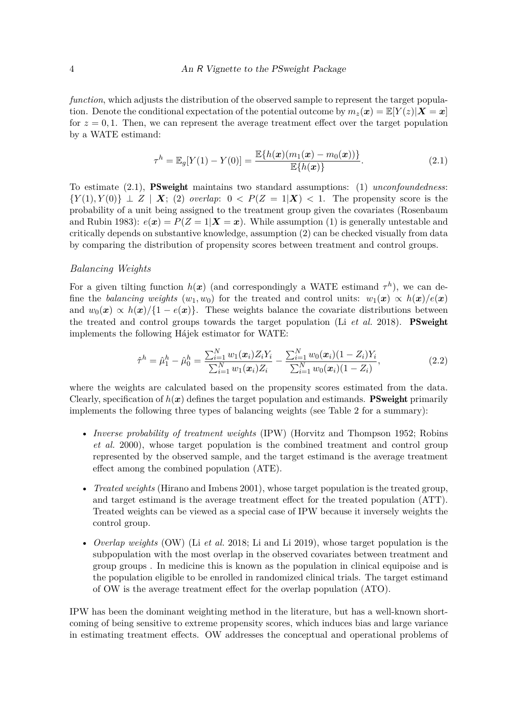*function*, which adjusts the distribution of the observed sample to represent the target population. Denote the conditional expectation of the potential outcome by  $m_z(\mathbf{x}) = \mathbb{E}[Y(z)|\mathbf{X} = \mathbf{x}]$ for  $z = 0, 1$ . Then, we can represent the average treatment effect over the target population by a WATE estimand:

$$
\tau^{h} = \mathbb{E}_{g}[Y(1) - Y(0)] = \frac{\mathbb{E}\{h(\boldsymbol{x})(m_{1}(\boldsymbol{x}) - m_{0}(\boldsymbol{x}))\}}{\mathbb{E}\{h(\boldsymbol{x})\}}.
$$
\n(2.1)

To estimate (2.1), PSweight maintains two standard assumptions: (1) *unconfoundedness*:  ${Y(1), Y(0)} \perp Z \mid X$ ; (2) *overlap*:  $0 < P(Z = 1|X) < 1$ . The propensity score is the probability of a unit being assigned to the treatment group given the covariates (Rosenbaum and Rubin 1983):  $e(x) = P(Z = 1 | X = x)$ . While assumption (1) is generally untestable and critically depends on substantive knowledge, assumption (2) can be checked visually from data by comparing the distribution of propensity scores between treatment and control groups.

#### *Balancing Weights*

For a given tilting function  $h(x)$  (and correspondingly a WATE estimand  $\tau^h$ ), we can define the *balancing weights*  $(w_1, w_0)$  for the treated and control units:  $w_1(x) \propto h(x)/e(x)$ and  $w_0(x) \propto h(x)/\{1-e(x)\}\.$  These weights balance the covariate distributions between the treated and control groups towards the target population (Li *et al.* 2018). PSweight implements the following Hájek estimator for WATE:

$$
\hat{\tau}^h = \hat{\mu}_1^h - \hat{\mu}_0^h = \frac{\sum_{i=1}^N w_1(\boldsymbol{x}_i) Z_i Y_i}{\sum_{i=1}^N w_1(\boldsymbol{x}_i) Z_i} - \frac{\sum_{i=1}^N w_0(\boldsymbol{x}_i) (1 - Z_i) Y_i}{\sum_{i=1}^N w_0(\boldsymbol{x}_i) (1 - Z_i)},
$$
\n(2.2)

where the weights are calculated based on the propensity scores estimated from the data. Clearly, specification of  $h(x)$  defines the target population and estimands. **PSweight** primarily implements the following three types of balancing weights (see Table 2 for a summary):

- *Inverse probability of treatment weights* (IPW) (Horvitz and Thompson 1952; Robins *et al.* 2000), whose target population is the combined treatment and control group represented by the observed sample, and the target estimand is the average treatment effect among the combined population (ATE).
- *Treated weights* (Hirano and Imbens 2001), whose target population is the treated group, and target estimand is the average treatment effect for the treated population (ATT). Treated weights can be viewed as a special case of IPW because it inversely weights the control group.
- *Overlap weights* (OW) (Li *et al.* 2018; Li and Li 2019), whose target population is the subpopulation with the most overlap in the observed covariates between treatment and group groups . In medicine this is known as the population in clinical equipoise and is the population eligible to be enrolled in randomized clinical trials. The target estimand of OW is the average treatment effect for the overlap population (ATO).

IPW has been the dominant weighting method in the literature, but has a well-known shortcoming of being sensitive to extreme propensity scores, which induces bias and large variance in estimating treatment effects. OW addresses the conceptual and operational problems of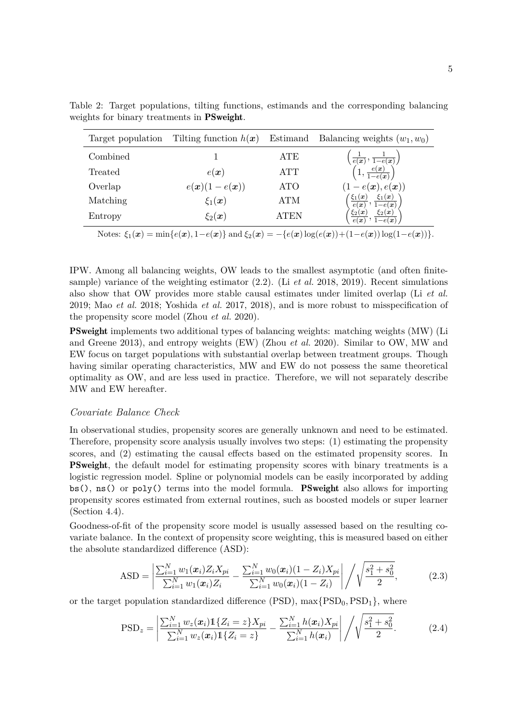| Target population                                                                                      | Tilting function $h(x)$ |            | Estimand Balancing weights $(w_1, w_0)$                                                                                    |  |
|--------------------------------------------------------------------------------------------------------|-------------------------|------------|----------------------------------------------------------------------------------------------------------------------------|--|
| Combined                                                                                               |                         | <b>ATE</b> |                                                                                                                            |  |
| Treated                                                                                                | $e(\boldsymbol{x})$     | <b>ATT</b> | $\begin{pmatrix} \frac{1}{e(\bm{x})}, \frac{1}{1-e(\bm{x})} \ \left(1, \frac{e(\bm{x})}{1-e(\bm{x})}\right) \end{pmatrix}$ |  |
| Overlap                                                                                                | $e(x)(1-e(x))$          | <b>ATO</b> | $(1-e(\boldsymbol{x}), e(\boldsymbol{x}))$                                                                                 |  |
| Matching                                                                                               | $\xi_1(\boldsymbol{x})$ | <b>ATM</b> | $\left(\frac{\xi_1(x)}{e(x)},\frac{\xi_1(x)}{1-e(x)}\right)$                                                               |  |
| Entropy                                                                                                | $\xi_2(\boldsymbol{x})$ | ATEN       | $\left\langle \frac{\xi_2(x)}{e(x)} , \frac{\xi_2(x)}{1-e(x)} \right\rangle$                                               |  |
| Notes: $\xi_1(x) = \min\{e(x), 1-e(x)\}\$ and $\xi_2(x) = -\{e(x)\log(e(x)) + (1-e(x))\log(1-e(x))\}.$ |                         |            |                                                                                                                            |  |

Table 2: Target populations, tilting functions, estimands and the corresponding balancing weights for binary treatments in PSweight.

IPW. Among all balancing weights, OW leads to the smallest asymptotic (and often finitesample) variance of the weighting estimator (2.2). (Li *et al.* 2018, 2019). Recent simulations also show that OW provides more stable causal estimates under limited overlap (Li *et al.* 2019; Mao *et al.* 2018; Yoshida *et al.* 2017, 2018), and is more robust to misspecification of the propensity score model (Zhou *et al.* 2020).

PSweight implements two additional types of balancing weights: matching weights (MW) (Li and Greene 2013), and entropy weights (EW) (Zhou *et al.* 2020). Similar to OW, MW and EW focus on target populations with substantial overlap between treatment groups. Though having similar operating characteristics, MW and EW do not possess the same theoretical optimality as OW, and are less used in practice. Therefore, we will not separately describe MW and EW hereafter.

### *Covariate Balance Check*

In observational studies, propensity scores are generally unknown and need to be estimated. Therefore, propensity score analysis usually involves two steps: (1) estimating the propensity scores, and (2) estimating the causal effects based on the estimated propensity scores. In PSweight, the default model for estimating propensity scores with binary treatments is a logistic regression model. Spline or polynomial models can be easily incorporated by adding  $bs()$ ,  $ns()$  or  $poly()$  terms into the model formula. **PSweight** also allows for importing propensity scores estimated from external routines, such as boosted models or super learner (Section 4.4).

Goodness-of-fit of the propensity score model is usually assessed based on the resulting covariate balance. In the context of propensity score weighting, this is measured based on either the absolute standardized difference (ASD):

$$
ASD = \left| \frac{\sum_{i=1}^{N} w_1(x_i) Z_i X_{pi}}{\sum_{i=1}^{N} w_1(x_i) Z_i} - \frac{\sum_{i=1}^{N} w_0(x_i) (1 - Z_i) X_{pi}}{\sum_{i=1}^{N} w_0(x_i) (1 - Z_i)} \right| / \sqrt{\frac{s_1^2 + s_0^2}{2}},
$$
(2.3)

or the target population standardized difference  $(PSD)$ ,  $max\{PSD_0,PSD_1\}$ , where

$$
PSD_z = \left| \frac{\sum_{i=1}^N w_z(\boldsymbol{x}_i) \mathbb{1}\{Z_i = z\} X_{pi}}{\sum_{i=1}^N w_z(\boldsymbol{x}_i) \mathbb{1}\{Z_i = z\}} - \frac{\sum_{i=1}^N h(\boldsymbol{x}_i) X_{pi}}{\sum_{i=1}^N h(\boldsymbol{x}_i)} \right| / \sqrt{\frac{s_1^2 + s_0^2}{2}}.
$$
(2.4)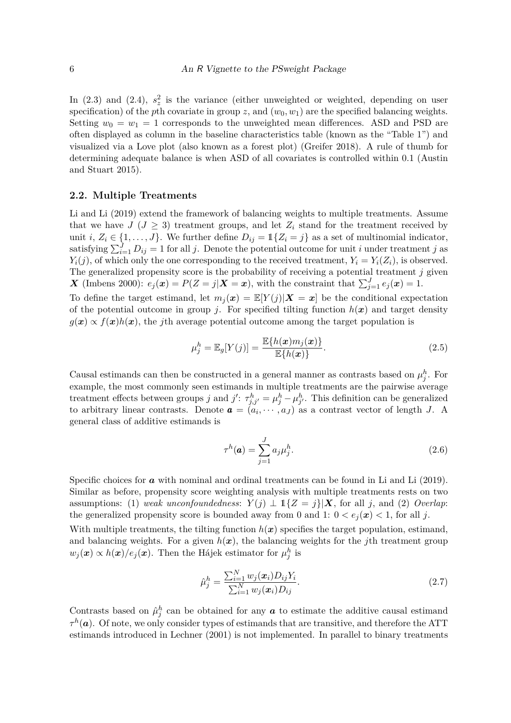In  $(2.3)$  and  $(2.4)$ ,  $s_z^2$  is the variance (either unweighted or weighted, depending on user specification) of the *p*th covariate in group *z*, and  $(w_0, w_1)$  are the specified balancing weights. Setting  $w_0 = w_1 = 1$  corresponds to the unweighted mean differences. ASD and PSD are often displayed as column in the baseline characteristics table (known as the "Table 1") and visualized via a Love plot (also known as a forest plot) (Greifer 2018). A rule of thumb for determining adequate balance is when ASD of all covariates is controlled within 0*.*1 (Austin and Stuart 2015).

### **2.2. Multiple Treatments**

Li and Li (2019) extend the framework of balancing weights to multiple treatments. Assume that we have  $J$  ( $J \geq 3$ ) treatment groups, and let  $Z_i$  stand for the treatment received by unit *i*,  $Z_i \in \{1, ..., J\}$ . We further define  $D_{ij} = \mathbb{1}\{Z_i = j\}$  as a set of multinomial indicator, satisfying  $\sum_{i=1}^{J} D_{ij} = 1$  for all *j*. Denote the potential outcome for unit *i* under treatment *j* as  $Y_i(j)$ , of which only the one corresponding to the received treatment,  $Y_i = Y_i(Z_i)$ , is observed. The generalized propensity score is the probability of receiving a potential treatment *j* given *X* (Imbens 2000):  $e_j(x) = P(Z = j | X = x)$ , with the constraint that  $\sum_{j=1}^{J} e_j(x) = 1$ .

To define the target estimand, let  $m_j(x) = \mathbb{E}[Y(j)|X=x]$  be the conditional expectation of the potential outcome in group *j*. For specified tilting function  $h(x)$  and target density  $g(x) \propto f(x)h(x)$ , the *j*th average potential outcome among the target population is

$$
\mu_j^h = \mathbb{E}_g[Y(j)] = \frac{\mathbb{E}\{h(\boldsymbol{x})m_j(\boldsymbol{x})\}}{\mathbb{E}\{h(\boldsymbol{x})\}}.
$$
\n(2.5)

Causal estimands can then be constructed in a general manner as contrasts based on  $\mu_j^h$ . For example, the most commonly seen estimands in multiple treatments are the pairwise average treatment effects between groups *j* and *j*':  $\tau_{j,j'}^h = \mu_j^h - \mu_{j'}^h$ . This definition can be generalized to arbitrary linear contrasts. Denote  $\boldsymbol{a} = (a_i, \dots, a_J)$  as a contrast vector of length *J*. A general class of additive estimands is

$$
\tau^h(\mathbf{a}) = \sum_{j=1}^J a_j \mu_j^h. \tag{2.6}
$$

Specific choices for **a** with nominal and ordinal treatments can be found in Li and Li (2019). Similar as before, propensity score weighting analysis with multiple treatments rests on two assumptions: (1) *weak unconfoundedness*:  $Y(j) \perp \mathbb{1}{Z = j|\mathbf{X}$ , for all *j*, and (2) *Overlap*: the generalized propensity score is bounded away from 0 and 1:  $0 < e_i(\mathbf{x}) < 1$ , for all j. With multiple treatments, the tilting function  $h(x)$  specifies the target population, estimand,

and balancing weights. For a given  $h(x)$ , the balancing weights for the *j*th treatment group  $w_j(\boldsymbol{x}) \propto h(\boldsymbol{x})/e_j(\boldsymbol{x})$ . Then the Hájek estimator for  $\mu_j^h$  is

$$
\hat{\mu}_j^h = \frac{\sum_{i=1}^N w_j(\boldsymbol{x}_i) D_{ij} Y_i}{\sum_{i=1}^N w_j(\boldsymbol{x}_i) D_{ij}}.
$$
\n(2.7)

Contrasts based on  $\hat{\mu}^h_j$  can be obtained for any  $\boldsymbol{a}$  to estimate the additive causal estimand  $\tau^h(\boldsymbol{a})$ . Of note, we only consider types of estimands that are transitive, and therefore the ATT estimands introduced in Lechner (2001) is not implemented. In parallel to binary treatments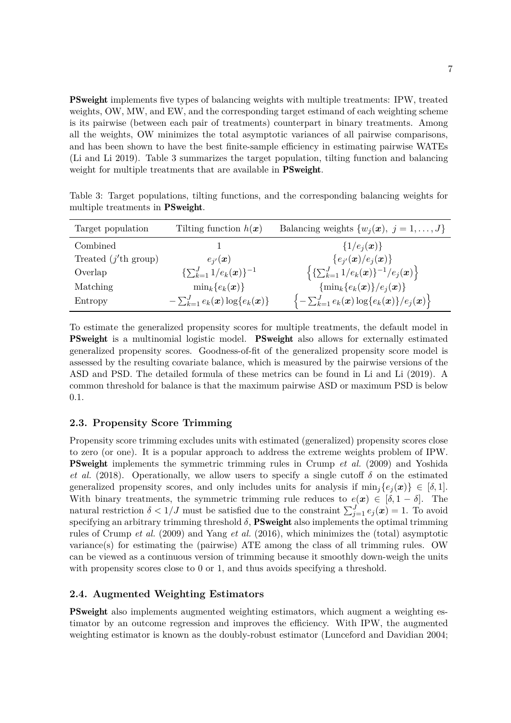PSweight implements five types of balancing weights with multiple treatments: IPW, treated weights, OW, MW, and EW, and the corresponding target estimand of each weighting scheme is its pairwise (between each pair of treatments) counterpart in binary treatments. Among all the weights, OW minimizes the total asymptotic variances of all pairwise comparisons, and has been shown to have the best finite-sample efficiency in estimating pairwise WATEs (Li and Li 2019). Table 3 summarizes the target population, tilting function and balancing weight for multiple treatments that are available in **PSweight**.

| Target population              | Tilting function $h(x)$                 | Balancing weights $\{w_i(\boldsymbol{x}), j = 1, , J\}$                                                  |
|--------------------------------|-----------------------------------------|----------------------------------------------------------------------------------------------------------|
| Combined                       |                                         | $\{1/e_i(\bm{x})\}\$                                                                                     |
| Treated $(j'th \text{ group})$ | $e_{i'}(x)$                             | ${e_{i'}(\boldsymbol{x})}/e_i(\boldsymbol{x})\}$                                                         |
| Overlap                        | $\{\sum_{k=1}^{J} 1/e_k(\bm{x})\}^{-1}$ | $\left\{ {\sum_{k=1}^{J}1/e_k(\bm{x})}\right\}^{-1}/e_j(\bm{x})\right\}$                                 |
| Matching                       | $\min_k\{e_k(\bm{x})\}\$                | $\{\min_k\{e_k(\boldsymbol{x})\}/e_j(\boldsymbol{x})\}\$                                                 |
| Entropy                        | $-\sum_{k=1}^{J}e_k(x)\log\{e_k(x)\}\$  | $\left\{-\sum_{k=1}^{J}e_{k}(\boldsymbol{x})\log\{e_{k}(\boldsymbol{x})\}/e_{j}(\boldsymbol{x})\right\}$ |

Table 3: Target populations, tilting functions, and the corresponding balancing weights for multiple treatments in PSweight.

To estimate the generalized propensity scores for multiple treatments, the default model in PSweight is a multinomial logistic model. PSweight also allows for externally estimated generalized propensity scores. Goodness-of-fit of the generalized propensity score model is assessed by the resulting covariate balance, which is measured by the pairwise versions of the ASD and PSD. The detailed formula of these metrics can be found in Li and Li (2019). A common threshold for balance is that the maximum pairwise ASD or maximum PSD is below 0.1.

### **2.3. Propensity Score Trimming**

Propensity score trimming excludes units with estimated (generalized) propensity scores close to zero (or one). It is a popular approach to address the extreme weights problem of IPW. PSweight implements the symmetric trimming rules in Crump *et al.* (2009) and Yoshida *et al.* (2018). Operationally, we allow users to specify a single cutoff  $\delta$  on the estimated generalized propensity scores, and only includes units for analysis if  $\min_i \{e_i(\bm{x})\} \in [\delta, 1].$ With binary treatments, the symmetric trimming rule reduces to  $e(\mathbf{x}) \in [\delta, 1-\delta]$ . The natural restriction  $\delta < 1/J$  must be satisfied due to the constraint  $\sum_{j=1}^{J} e_j(\boldsymbol{x}) = 1$ . To avoid specifying an arbitrary trimming threshold  $\delta$ , **PSweight** also implements the optimal trimming rules of Crump *et al.* (2009) and Yang *et al.* (2016), which minimizes the (total) asymptotic variance(s) for estimating the (pairwise) ATE among the class of all trimming rules. OW can be viewed as a continuous version of trimming because it smoothly down-weigh the units with propensity scores close to 0 or 1, and thus avoids specifying a threshold.

### **2.4. Augmented Weighting Estimators**

PSweight also implements augmented weighting estimators, which augment a weighting estimator by an outcome regression and improves the efficiency. With IPW, the augmented weighting estimator is known as the doubly-robust estimator (Lunceford and Davidian 2004;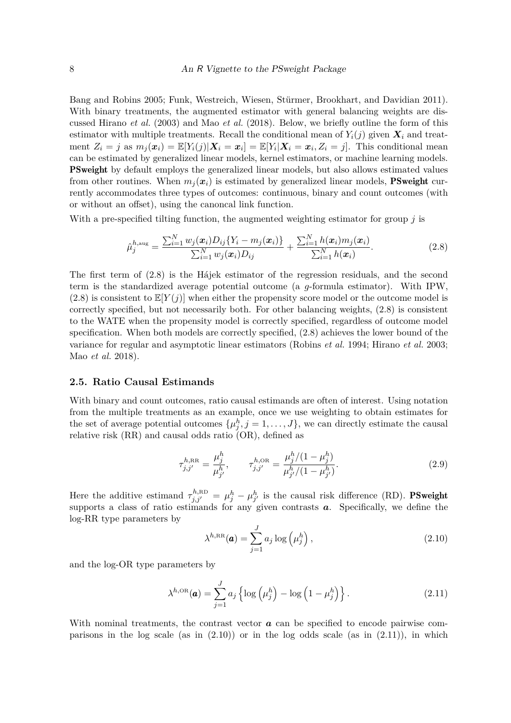Bang and Robins 2005; Funk, Westreich, Wiesen, Stürmer, Brookhart, and Davidian 2011). With binary treatments, the augmented estimator with general balancing weights are discussed Hirano *et al.* (2003) and Mao *et al.* (2018). Below, we briefly outline the form of this estimator with multiple treatments. Recall the conditional mean of  $Y_i(j)$  given  $X_i$  and treatment  $Z_i = j$  as  $m_j(\mathbf{x}_i) = \mathbb{E}[Y_i(j)|\mathbf{X}_i = \mathbf{x}_i] = \mathbb{E}[Y_i|\mathbf{X}_i = \mathbf{x}_i, Z_i = j]$ . This conditional mean can be estimated by generalized linear models, kernel estimators, or machine learning models. PSweight by default employs the generalized linear models, but also allows estimated values from other routines. When  $m_i(x_i)$  is estimated by generalized linear models, **PSweight** currently accommodates three types of outcomes: continuous, binary and count outcomes (with or without an offset), using the canoncal link function.

With a pre-specified tilting function, the augmented weighting estimator for group *j* is

$$
\hat{\mu}_{j}^{h,\text{aug}} = \frac{\sum_{i=1}^{N} w_{j}(\boldsymbol{x}_{i}) D_{ij} \{ Y_{i} - m_{j}(\boldsymbol{x}_{i}) \}}{\sum_{i=1}^{N} w_{j}(\boldsymbol{x}_{i}) D_{ij}} + \frac{\sum_{i=1}^{N} h(\boldsymbol{x}_{i}) m_{j}(\boldsymbol{x}_{i})}{\sum_{i=1}^{N} h(\boldsymbol{x}_{i})}.
$$
\n(2.8)

The first term of (2.8) is the Hájek estimator of the regression residuals, and the second term is the standardized average potential outcome (a *g*-formula estimator). With IPW,  $(2.8)$  is consistent to  $\mathbb{E}[Y(i)]$  when either the propensity score model or the outcome model is correctly specified, but not necessarily both. For other balancing weights, (2.8) is consistent to the WATE when the propensity model is correctly specified, regardless of outcome model specification. When both models are correctly specified, (2.8) achieves the lower bound of the variance for regular and asymptotic linear estimators (Robins *et al.* 1994; Hirano *et al.* 2003; Mao *et al.* 2018).

#### **2.5. Ratio Causal Estimands**

With binary and count outcomes, ratio causal estimands are often of interest. Using notation from the multiple treatments as an example, once we use weighting to obtain estimates for the set of average potential outcomes  $\{\mu_j^h, j = 1, \ldots, J\}$ , we can directly estimate the causal relative risk (RR) and causal odds ratio (OR), defined as

$$
\tau_{j,j'}^{h,\text{RR}} = \frac{\mu_j^h}{\mu_{j'}^h}, \qquad \tau_{j,j'}^{h,\text{OR}} = \frac{\mu_j^h/(1 - \mu_j^h)}{\mu_{j'}^h/(1 - \mu_{j'}^h)}.
$$
\n(2.9)

Here the additive estimand  $\tau_{j,j'}^{h,\text{RD}} = \mu_j^h - \mu_{j'}^h$  is the causal risk difference (RD). **PSweight** supports a class of ratio estimands for any given contrasts **a**. Specifically, we define the log-RR type parameters by

$$
\lambda^{h,\text{RR}}(\boldsymbol{a}) = \sum_{j=1}^{J} a_j \log \left(\mu_j^h\right),\tag{2.10}
$$

and the log-OR type parameters by

$$
\lambda^{h,\text{OR}}(\boldsymbol{a}) = \sum_{j=1}^{J} a_j \left\{ \log \left( \mu_j^h \right) - \log \left( 1 - \mu_j^h \right) \right\}.
$$
 (2.11)

With nominal treatments, the contrast vector **a** can be specified to encode pairwise comparisons in the log scale (as in  $(2.10)$ ) or in the log odds scale (as in  $(2.11)$ ), in which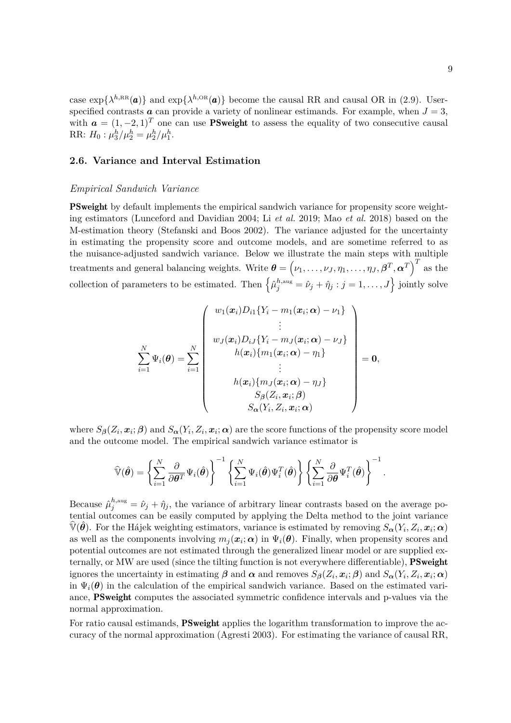case  $\exp{\{\lambda^{h,RR}(\boldsymbol{a})\}}$  and  $\exp{\{\lambda^{h,OR}(\boldsymbol{a})\}}$  become the causal RR and causal OR in (2.9). Userspecified contrasts **a** can provide a variety of nonlinear estimands. For example, when  $J = 3$ , with  $\mathbf{a} = (1, -2, 1)^T$  one can use PSweight to assess the equality of two consecutive causal RR:  $H_0: \mu_3^h/\mu_2^h = \mu_2^h/\mu_1^h$ .

#### **2.6. Variance and Interval Estimation**

#### *Empirical Sandwich Variance*

PSweight by default implements the empirical sandwich variance for propensity score weighting estimators (Lunceford and Davidian 2004; Li *et al.* 2019; Mao *et al.* 2018) based on the M-estimation theory (Stefanski and Boos 2002). The variance adjusted for the uncertainty in estimating the propensity score and outcome models, and are sometime referred to as the nuisance-adjusted sandwich variance. Below we illustrate the main steps with multiple treatments and general balancing weights. Write  $\boldsymbol{\theta} = (\nu_1, \dots, \nu_J, \eta_1, \dots, \eta_J, \boldsymbol{\beta}^T, \boldsymbol{\alpha}^T)^T$  as the collection of parameters to be estimated. Then  $\left\{\hat{\mu}_{j}^{h,\text{aug}} = \hat{\nu}_{j} + \hat{\eta}_{j} : j = 1, \ldots, J\right\}$  jointly solve

$$
\sum_{i=1}^{N} \Psi_i(\boldsymbol{\theta}) = \sum_{i=1}^{N} \begin{pmatrix} w_1(\boldsymbol{x}_i)D_{i1}\{Y_i - m_1(\boldsymbol{x}_i;\boldsymbol{\alpha}) - \nu_1\} \\ \vdots \\ w_J(\boldsymbol{x}_i)D_{iJ}\{Y_i - m_J(\boldsymbol{x}_i;\boldsymbol{\alpha}) - \nu_J\} \\ h(\boldsymbol{x}_i)\{m_1(\boldsymbol{x}_i;\boldsymbol{\alpha}) - \eta_1\} \\ \vdots \\ h(\boldsymbol{x}_i)\{m_J(\boldsymbol{x}_i;\boldsymbol{\alpha}) - \eta_J\} \\ S_{\boldsymbol{\beta}}(Z_i,\boldsymbol{x}_i;\boldsymbol{\beta}) \\ S_{\boldsymbol{\alpha}}(Y_i,\boldsymbol{Z}_i,\boldsymbol{x}_i;\boldsymbol{\alpha}) \end{pmatrix} = \mathbf{0},
$$

where  $S_{\pmb{\beta}}(Z_i, \pmb{x}_i; \pmb{\beta})$  and  $S_{\pmb{\alpha}}(Y_i, Z_i, \pmb{x}_i; \pmb{\alpha})$  are the score functions of the propensity score model and the outcome model. The empirical sandwich variance estimator is

$$
\widehat{\mathbb{V}}(\widehat{\boldsymbol{\theta}}) = \left\{ \sum_{i=1}^N \frac{\partial}{\partial \boldsymbol{\theta}^T} \Psi_i(\widehat{\boldsymbol{\theta}}) \right\}^{-1} \left\{ \sum_{i=1}^N \Psi_i(\widehat{\boldsymbol{\theta}}) \Psi_i^T(\widehat{\boldsymbol{\theta}}) \right\} \left\{ \sum_{i=1}^N \frac{\partial}{\partial \boldsymbol{\theta}} \Psi_i^T(\widehat{\boldsymbol{\theta}}) \right\}^{-1}.
$$

Because  $\hat{\mu}_j^{h,\text{aug}} = \hat{\nu}_j + \hat{\eta}_j$ , the variance of arbitrary linear contrasts based on the average potential outcomes can be easily computed by applying the Delta method to the joint variance  $\widehat{\mathbb{V}}(\hat{\theta})$ . For the Hájek weighting estimators, variance is estimated by removing  $S_{\bm{\alpha}}(Y_i, Z_i, \bm{x}_i; \bm{\alpha})$ as well as the components involving  $m_j(\bm{x}_i;\bm{\alpha})$  in  $\Psi_i(\bm{\theta})$ . Finally, when propensity scores and potential outcomes are not estimated through the generalized linear model or are supplied externally, or MW are used (since the tilting function is not everywhere differentiable), PSweight ignores the uncertainty in estimating  $\beta$  and  $\alpha$  and removes  $S_{\beta}(Z_i, x_i; \beta)$  and  $S_{\alpha}(Y_i, Z_i, x_i; \alpha)$ in  $\Psi_i(\theta)$  in the calculation of the empirical sandwich variance. Based on the estimated variance, PSweight computes the associated symmetric confidence intervals and p-values via the normal approximation.

For ratio causal estimands, **PSweight** applies the logarithm transformation to improve the accuracy of the normal approximation (Agresti 2003). For estimating the variance of causal RR,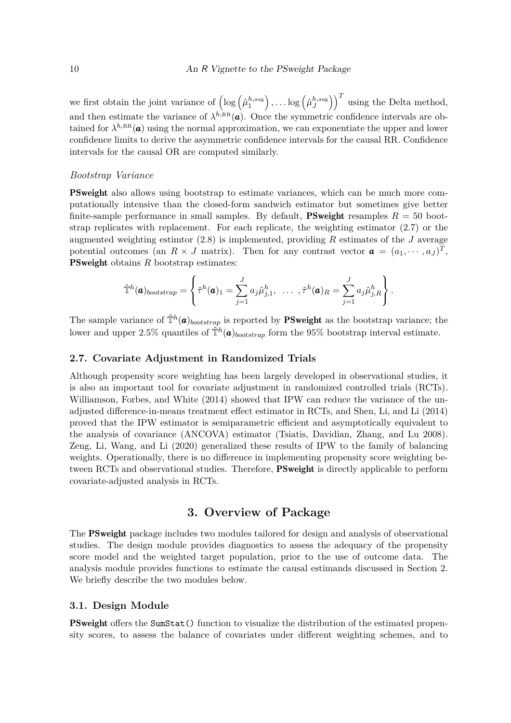we first obtain the joint variance of  $\left(\log\left(\hat{\mu}_1^{h,\text{aug}}\right)\right)$ 1  $\big)$ ,...log  $(\hat{\mu}^{h,\text{aug}}_J)$ *J*  $\big)$ <sup>T</sup> using the Delta method, and then estimate the variance of  $\lambda^{h,\text{RR}}(a)$ . Once the symmetric confidence intervals are obtained for  $\lambda^{h,\text{RR}}(a)$  using the normal approximation, we can exponentiate the upper and lower confidence limits to derive the asymmetric confidence intervals for the causal RR. Confidence intervals for the causal OR are computed similarly.

### *Bootstrap Variance*

PSweight also allows using bootstrap to estimate variances, which can be much more computationally intensive than the closed-form sandwich estimator but sometimes give better finite-sample performance in small samples. By default, **PSweight** resamples  $R = 50$  bootstrap replicates with replacement. For each replicate, the weighting estimator (2.7) or the augmented weighting estimtor (2.8) is implemented, providing *R* estimates of the *J* average potential outcomes (an  $R \times J$  matrix). Then for any contrast vector  $\boldsymbol{a} = (a_1, \dots, a_J)^T$ , **PSweight** obtains *R* bootstrap estimates:

$$
\hat{\mathbb{T}}^h(\boldsymbol{a})_{bootstrap} = \left\{ \hat{\tau}^h(\boldsymbol{a})_1 = \sum_{j=1}^J a_j \hat{\mu}_{j,1}^h, \ \ \ldots \ \ , \hat{\tau}^h(\boldsymbol{a})_R = \sum_{j=1}^J a_j \hat{\mu}_{j,R}^h \right\}.
$$

The sample variance of  $\hat{\mathbb{T}}^h(\mathbf{a})_{bootstrap}$  is reported by **PSweight** as the bootstrap variance; the lower and upper 2.5% quantiles of  $\hat{\mathbb{T}}^h(\mathbf{a})_{bootstrap}$  form the 95% bootstrap interval estimate.

#### **2.7. Covariate Adjustment in Randomized Trials**

Although propensity score weighting has been largely developed in observational studies, it is also an important tool for covariate adjustment in randomized controlled trials (RCTs). Williamson, Forbes, and White (2014) showed that IPW can reduce the variance of the unadjusted difference-in-means treatment effect estimator in RCTs, and Shen, Li, and Li (2014) proved that the IPW estimator is semiparametric efficient and asymptotically equivalent to the analysis of covariance (ANCOVA) estimator (Tsiatis, Davidian, Zhang, and Lu 2008). Zeng, Li, Wang, and Li (2020) generalized these results of IPW to the family of balancing weights. Operationally, there is no difference in implementing propensity score weighting between RCTs and observational studies. Therefore, PSweight is directly applicable to perform covariate-adjusted analysis in RCTs.

## **3. Overview of Package**

The PSweight package includes two modules tailored for design and analysis of observational studies. The design module provides diagnostics to assess the adequacy of the propensity score model and the weighted target population, prior to the use of outcome data. The analysis module provides functions to estimate the causal estimands discussed in Section 2. We briefly describe the two modules below.

### **3.1. Design Module**

PSweight offers the SumStat() function to visualize the distribution of the estimated propensity scores, to assess the balance of covariates under different weighting schemes, and to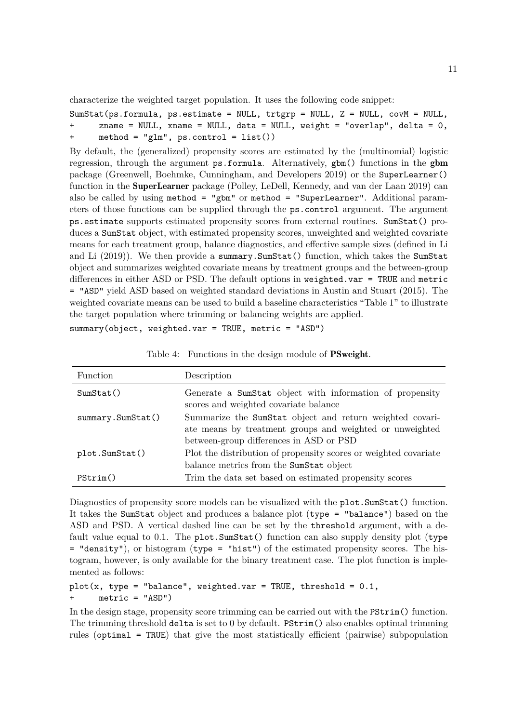characterize the weighted target population. It uses the following code snippet:

```
SumStat(ps.format, ps.estimate = NULL, trtgrp = NULL, Z = NULL, covM = NULL,+ zname = NULL, xname = NULL, data = NULL, weight = "overlap", delta = 0,
+ method = "glm", ps.control = list())
```
By default, the (generalized) propensity scores are estimated by the (multinomial) logistic regression, through the argument ps.formula. Alternatively, gbm() functions in the gbm package (Greenwell, Boehmke, Cunningham, and Developers 2019) or the SuperLearner() function in the SuperLearner package (Polley, LeDell, Kennedy, and van der Laan 2019) can also be called by using method = "gbm" or method = "SuperLearner". Additional parameters of those functions can be supplied through the ps.control argument. The argument ps.estimate supports estimated propensity scores from external routines. SumStat() produces a SumStat object, with estimated propensity scores, unweighted and weighted covariate means for each treatment group, balance diagnostics, and effective sample sizes (defined in Li and Li (2019)). We then provide a summary.SumStat() function, which takes the SumStat object and summarizes weighted covariate means by treatment groups and the between-group differences in either ASD or PSD. The default options in weighted.var  $=$  TRUE and metric = "ASD" yield ASD based on weighted standard deviations in Austin and Stuart (2015). The weighted covariate means can be used to build a baseline characteristics "Table 1" to illustrate the target population where trimming or balancing weights are applied.

summary(object, weighted.var = TRUE, metric = "ASD")

| Function           | Description                                                                                                                                                     |
|--------------------|-----------------------------------------------------------------------------------------------------------------------------------------------------------------|
| SumStat()          | Generate a SumStat object with information of propensity<br>scores and weighted covariate balance                                                               |
| summary. SumStat() | Summarize the SumStat object and return weighted covari-<br>ate means by treatment groups and weighted or unweighted<br>between-group differences in ASD or PSD |
| plot.SumStat()     | Plot the distribution of propensity scores or weighted covariate<br>balance metrics from the SumStat object                                                     |
| PStrim()           | Trim the data set based on estimated propensity scores                                                                                                          |

Table 4: Functions in the design module of PSweight.

Diagnostics of propensity score models can be visualized with the plot. SumStat() function. It takes the SumStat object and produces a balance plot (type = "balance") based on the ASD and PSD. A vertical dashed line can be set by the threshold argument, with a default value equal to 0.1. The plot. Sum Stat () function can also supply density plot (type = "density"), or histogram (type = "hist") of the estimated propensity scores. The histogram, however, is only available for the binary treatment case. The plot function is implemented as follows:

```
plot(x, type = "balance", weighted-var = TRUE, threshold = 0.1,+ metric = "ASD")
```
In the design stage, propensity score trimming can be carried out with the PStrim() function. The trimming threshold delta is set to 0 by default. PStrim() also enables optimal trimming rules (optimal = TRUE) that give the most statistically efficient (pairwise) subpopulation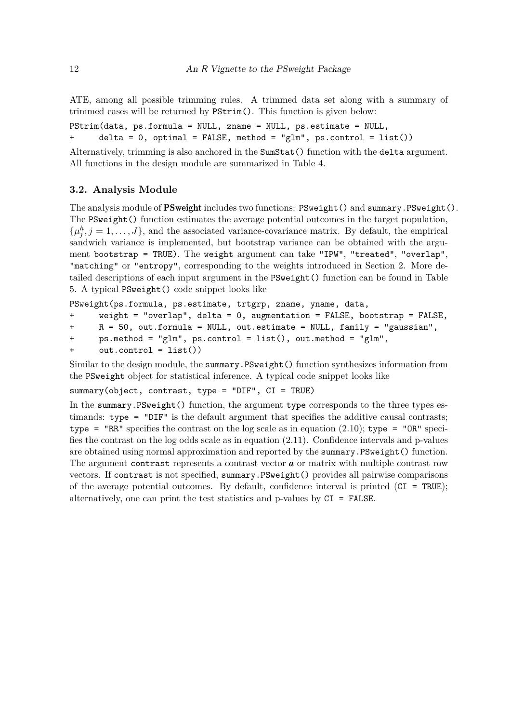ATE, among all possible trimming rules. A trimmed data set along with a summary of trimmed cases will be returned by PStrim(). This function is given below:

PStrim(data, ps.formula = NULL, zname = NULL, ps.estimate = NULL, + delta = 0, optimal = FALSE, method = "glm", ps.control = list())

Alternatively, trimming is also anchored in the SumStat() function with the delta argument. All functions in the design module are summarized in Table 4.

### **3.2. Analysis Module**

The analysis module of **PSweight** includes two functions: **PSweight** () and summary.PSweight (). The PSweight() function estimates the average potential outcomes in the target population,  $\{\mu_j^h, j = 1, \ldots, J\}$ , and the associated variance-covariance matrix. By default, the empirical sandwich variance is implemented, but bootstrap variance can be obtained with the argument bootstrap = TRUE). The weight argument can take "IPW", "treated", "overlap", "matching" or "entropy", corresponding to the weights introduced in Section 2. More detailed descriptions of each input argument in the PSweight() function can be found in Table 5. A typical PSweight() code snippet looks like

PSweight(ps.formula, ps.estimate, trtgrp, zname, yname, data,

```
+ weight = "overlap", delta = 0, augmentation = FALSE, bootstrap = FALSE,
```

```
+ R = 50, out.formula = NULL, out.estimate = NULL, family = "gaussian",
```

```
+ ps.method = "glm", ps.control = list(), out.method = "glm",
```

```
+ out.control = list())
```
Similar to the design module, the summary.PSweight() function synthesizes information from the PSweight object for statistical inference. A typical code snippet looks like

summary(object, contrast, type = "DIF", CI = TRUE)

In the summary. PSweight() function, the argument type corresponds to the three types estimands: type = "DIF" is the default argument that specifies the additive causal contrasts; type = "RR" specifies the contrast on the log scale as in equation (2.10); type = "OR" specifies the contrast on the log odds scale as in equation (2.11). Confidence intervals and p-values are obtained using normal approximation and reported by the summary.PSweight() function. The argument contrast represents a contrast vector *a* or matrix with multiple contrast row vectors. If contrast is not specified, summary.PSweight() provides all pairwise comparisons of the average potential outcomes. By default, confidence interval is printed  $(CI = TRUE)$ ; alternatively, one can print the test statistics and p-values by CI = FALSE.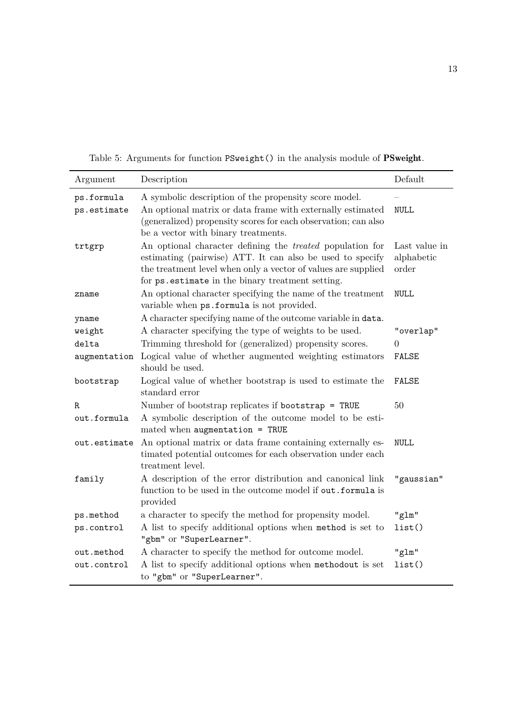Table 5: Arguments for function PSweight() in the analysis module of PSweight.

| Argument     | Description                                                                                                                                                                                                                                         | Default                              |
|--------------|-----------------------------------------------------------------------------------------------------------------------------------------------------------------------------------------------------------------------------------------------------|--------------------------------------|
| ps.formula   | A symbolic description of the propensity score model.                                                                                                                                                                                               |                                      |
| ps.estimate  | An optional matrix or data frame with externally estimated<br>(generalized) propensity scores for each observation; can also<br>be a vector with binary treatments.                                                                                 | <b>NULL</b>                          |
| trtgrp       | An optional character defining the <i>treated</i> population for<br>estimating (pairwise) ATT. It can also be used to specify<br>the treatment level when only a vector of values are supplied<br>for ps. estimate in the binary treatment setting. | Last value in<br>alphabetic<br>order |
| zname        | An optional character specifying the name of the treatment<br>variable when ps.formula is not provided.                                                                                                                                             | <b>NULL</b>                          |
| yname        | A character specifying name of the outcome variable in data.                                                                                                                                                                                        |                                      |
| weight       | A character specifying the type of weights to be used.                                                                                                                                                                                              | "overlap"                            |
| delta        | Trimming threshold for (generalized) propensity scores.                                                                                                                                                                                             | 0                                    |
| augmentation | Logical value of whether augmented weighting estimators<br>should be used.                                                                                                                                                                          | FALSE                                |
| bootstrap    | Logical value of whether bootstrap is used to estimate the<br>standard error                                                                                                                                                                        | <b>FALSE</b>                         |
| R            | Number of bootstrap replicates if bootstrap = TRUE                                                                                                                                                                                                  | 50                                   |
| out.formula  | A symbolic description of the outcome model to be esti-<br>mated when augmentation = $TRUE$                                                                                                                                                         |                                      |
| out.estimate | An optional matrix or data frame containing externally es-<br>timated potential outcomes for each observation under each<br>treatment level.                                                                                                        | <b>NULL</b>                          |
| family       | A description of the error distribution and canonical link<br>function to be used in the outcome model if out.formula is<br>provided                                                                                                                | "gaussian"                           |
| ps.method    | a character to specify the method for propensity model.                                                                                                                                                                                             | "glm"                                |
| ps.control   | A list to specify additional options when method is set to<br>"gbm" or "SuperLearner".                                                                                                                                                              | list()                               |
| out.method   | A character to specify the method for outcome model.                                                                                                                                                                                                | "glm"                                |
| out.control  | A list to specify additional options when methodout is set<br>to "gbm" or "SuperLearner".                                                                                                                                                           | list()                               |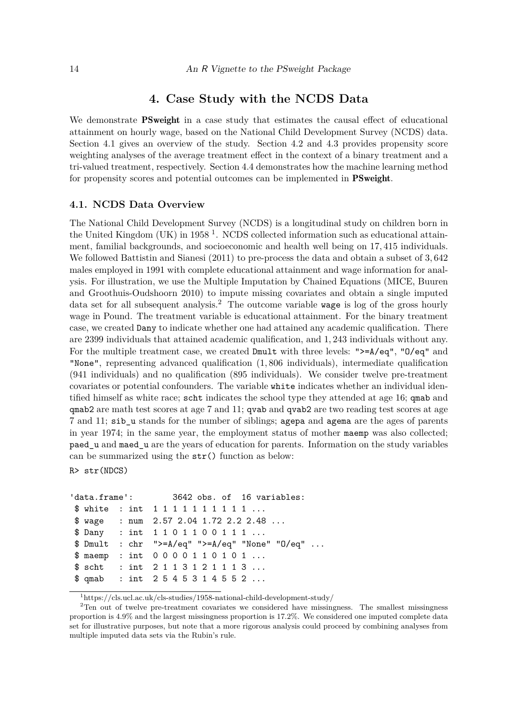### **4. Case Study with the NCDS Data**

We demonstrate **PSweight** in a case study that estimates the causal effect of educational attainment on hourly wage, based on the National Child Development Survey (NCDS) data. Section 4.1 gives an overview of the study. Section 4.2 and 4.3 provides propensity score weighting analyses of the average treatment effect in the context of a binary treatment and a tri-valued treatment, respectively. Section 4.4 demonstrates how the machine learning method for propensity scores and potential outcomes can be implemented in PSweight.

### **4.1. NCDS Data Overview**

The National Child Development Survey (NCDS) is a longitudinal study on children born in the United Kingdom (UK) in  $1958<sup>1</sup>$ . NCDS collected information such as educational attainment, familial backgrounds, and socioeconomic and health well being on 17*,* 415 individuals. We followed Battistin and Sianesi (2011) to pre-process the data and obtain a subset of 3*,* 642 males employed in 1991 with complete educational attainment and wage information for analysis. For illustration, we use the Multiple Imputation by Chained Equations (MICE, Buuren and Groothuis-Oudshoorn 2010) to impute missing covariates and obtain a single imputed data set for all subsequent analysis.<sup>2</sup> The outcome variable wage is log of the gross hourly wage in Pound. The treatment variable is educational attainment. For the binary treatment case, we created Dany to indicate whether one had attained any academic qualification. There are 2399 individuals that attained academic qualification, and 1*,* 243 individuals without any. For the multiple treatment case, we created Dmult with three levels: ">=A/eq", "O/eq" and "None", representing advanced qualification (1*,* 806 individuals), intermediate qualification (941 individuals) and no qualification (895 individuals). We consider twelve pre-treatment covariates or potential confounders. The variable white indicates whether an individual identified himself as white race; scht indicates the school type they attended at age 16; qmab and qmab2 are math test scores at age 7 and 11; qvab and qvab2 are two reading test scores at age 7 and 11; sib\_u stands for the number of siblings; agepa and agema are the ages of parents in year 1974; in the same year, the employment status of mother maemp was also collected; paed\_u and maed\_u are the years of education for parents. Information on the study variables can be summarized using the str() function as below:

R> str(NDCS)

```
'data.frame': 3642 obs. of 16 variables:
$ white : int 1 1 1 1 1 1 1 1 1 1 ...
$ wage : num 2.57 2.04 1.72 2.2 2.48 ...
$ Dany : int 1 1 0 1 1 0 0 1 1 1 ...
$ Dmult : chr ">=A/eq" ">=A/eq" "None" "O/eq" ...
$ maemp : int 0 0 0 0 1 1 0 1 0 1 ...
$ scht : int 2 1 1 3 1 2 1 1 1 3 ...
$ qmab : int 2 5 4 5 3 1 4 5 5 2 ...
```
<sup>1</sup>https://cls.ucl.ac.uk/cls-studies/1958-national-child-development-study/

<sup>&</sup>lt;sup>2</sup>Ten out of twelve pre-treatment covariates we considered have missingness. The smallest missingness proportion is 4*.*9% and the largest missingness proportion is 17*.*2%. We considered one imputed complete data set for illustrative purposes, but note that a more rigorous analysis could proceed by combining analyses from multiple imputed data sets via the Rubin's rule.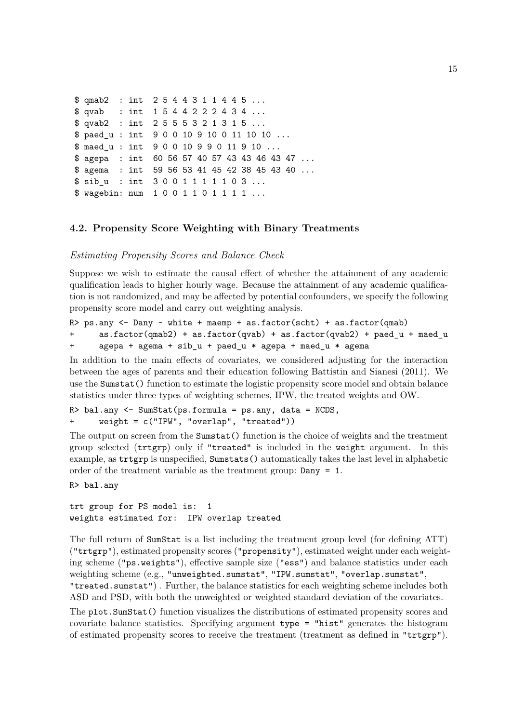```
$ qmab2 : int 2 5 4 4 3 1 1 4 4 5 ...
$ qvab : int 1 5 4 4 2 2 2 4 3 4 ...
$ qvab2 : int 2 5 5 5 3 2 1 3 1 5 ...
$ paed_u : int 9 0 0 10 9 10 0 11 10 10 ...
$ maed u : int 9 0 0 10 9 9 0 11 9 10 ...
$ agepa : int 60 56 57 40 57 43 43 46 43 47 ...
$ agema : int 59 56 53 41 45 42 38 45 43 40 ...
$ sib_u : int 3 0 0 1 1 1 1 1 0 3 ...
$ wagebin: num 1 0 0 1 1 0 1 1 1 1 ...
```
### **4.2. Propensity Score Weighting with Binary Treatments**

#### *Estimating Propensity Scores and Balance Check*

Suppose we wish to estimate the causal effect of whether the attainment of any academic qualification leads to higher hourly wage. Because the attainment of any academic qualification is not randomized, and may be affected by potential confounders, we specify the following propensity score model and carry out weighting analysis.

```
R> ps.any \leq Dany \sim white + maemp + as.factor(scht) + as.factor(qmab)
+ as.factor(qmab2) + as.factor(qvab) + as.factor(qvab2) + paed_u + maed_u
+ agepa + agema + sib_u + paed_u * agepa + maed_u * agema
```
In addition to the main effects of covariates, we considered adjusting for the interaction between the ages of parents and their education following Battistin and Sianesi (2011). We use the Sumstat() function to estimate the logistic propensity score model and obtain balance statistics under three types of weighting schemes, IPW, the treated weights and OW.

R> bal.any <- SumStat(ps.formula = ps.any, data = NCDS, + weight = c("IPW", "overlap", "treated"))

The output on screen from the Sumstat() function is the choice of weights and the treatment group selected (trtgrp) only if "treated" is included in the weight argument. In this example, as trtgrp is unspecified, Sumstats() automatically takes the last level in alphabetic order of the treatment variable as the treatment group: Dany = 1.

R> bal.any

trt group for PS model is: 1 weights estimated for: IPW overlap treated

The full return of SumStat is a list including the treatment group level (for defining ATT) ("trtgrp"), estimated propensity scores ("propensity"), estimated weight under each weighting scheme ("ps.weights"), effective sample size ("ess") and balance statistics under each weighting scheme (e.g., "unweighted.sumstat", "IPW.sumstat", "overlap.sumstat", "treated.sumstat") . Further, the balance statistics for each weighting scheme includes both ASD and PSD, with both the unweighted or weighted standard deviation of the covariates.

The plot.SumStat() function visualizes the distributions of estimated propensity scores and covariate balance statistics. Specifying argument type = "hist" generates the histogram of estimated propensity scores to receive the treatment (treatment as defined in "trtgrp").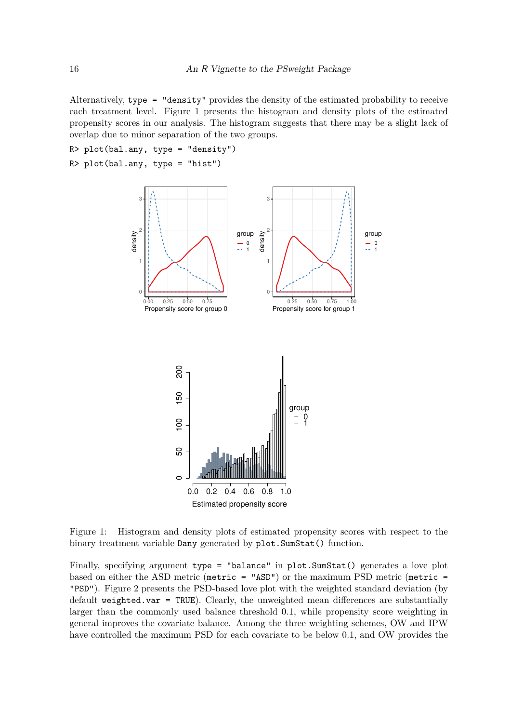Alternatively, type = "density" provides the density of the estimated probability to receive each treatment level. Figure 1 presents the histogram and density plots of the estimated propensity scores in our analysis. The histogram suggests that there may be a slight lack of overlap due to minor separation of the two groups.

 $R$ > plot(bal.any, type = "density")





Figure 1: Histogram and density plots of estimated propensity scores with respect to the binary treatment variable Dany generated by plot.SumStat() function.

Finally, specifying argument type = "balance" in plot. SumStat() generates a love plot based on either the ASD metric (metric = " $\text{ASD}$ ") or the maximum PSD metric (metric = "PSD"). Figure 2 presents the PSD-based love plot with the weighted standard deviation (by default weighted.var = TRUE). Clearly, the unweighted mean differences are substantially larger than the commonly used balance threshold 0*.*1, while propensity score weighting in general improves the covariate balance. Among the three weighting schemes, OW and IPW have controlled the maximum PSD for each covariate to be below 0*.*1, and OW provides the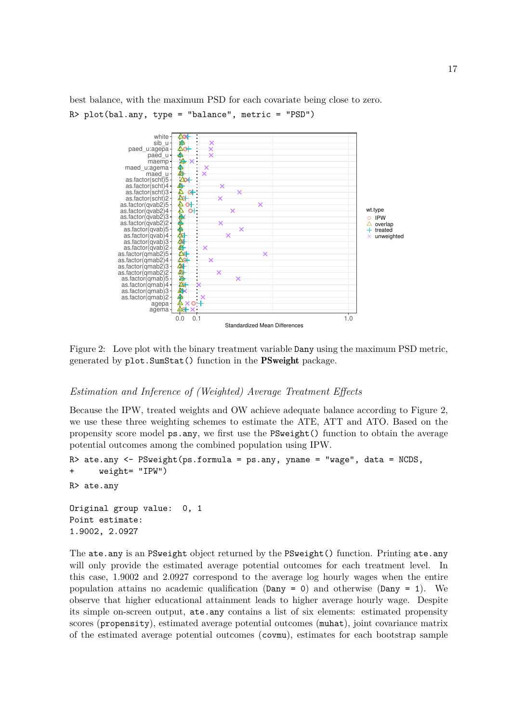best balance, with the maximum PSD for each covariate being close to zero.  $R$ > plot(bal.any, type = "balance", metric = "PSD")



Figure 2: Love plot with the binary treatment variable Dany using the maximum PSD metric, generated by plot.SumStat() function in the PSweight package.

### *Estimation and Inference of (Weighted) Average Treatment Effects*

Because the IPW, treated weights and OW achieve adequate balance according to Figure 2, we use these three weighting schemes to estimate the ATE, ATT and ATO. Based on the propensity score model ps.any, we first use the PSweight() function to obtain the average potential outcomes among the combined population using IPW.

```
R> ate.any <- PSweight(ps.formula = ps.any, yname = "wage", data = NCDS,
+ weight= "IPW")
R> ate.any
Original group value: 0, 1
Point estimate:
1.9002, 2.0927
```
The ate.any is an PSweight object returned by the PSweight() function. Printing ate.any will only provide the estimated average potential outcomes for each treatment level. In this case, 1*.*9002 and 2*.*0927 correspond to the average log hourly wages when the entire population attains no academic qualification  $(Dany = 0)$  and otherwise  $(Dany = 1)$ . We observe that higher educational attainment leads to higher average hourly wage. Despite its simple on-screen output, ate.any contains a list of six elements: estimated propensity scores (propensity), estimated average potential outcomes (muhat), joint covariance matrix of the estimated average potential outcomes (covmu), estimates for each bootstrap sample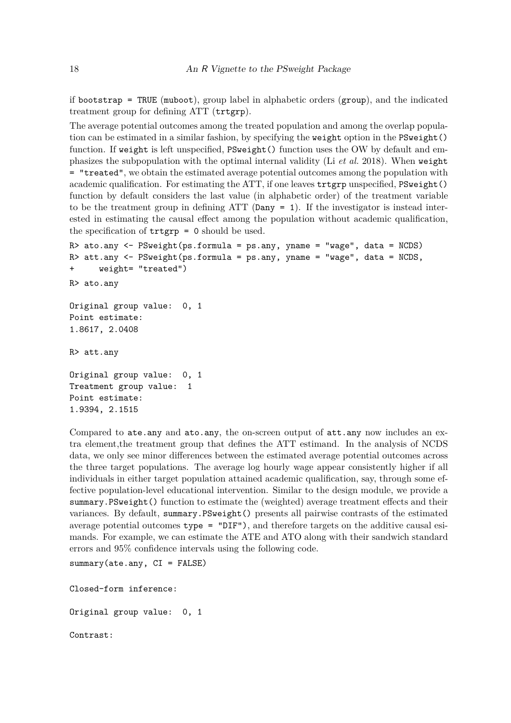if bootstrap = TRUE (muboot), group label in alphabetic orders (group), and the indicated treatment group for defining ATT (trtgrp).

The average potential outcomes among the treated population and among the overlap population can be estimated in a similar fashion, by specifying the weight option in the PSweight() function. If weight is left unspecified,  $P\text{Sweight}$  () function uses the OW by default and emphasizes the subpopulation with the optimal internal validity (Li *et al.* 2018). When weight = "treated", we obtain the estimated average potential outcomes among the population with academic qualification. For estimating the ATT, if one leaves trtgrp unspecified, PSweight() function by default considers the last value (in alphabetic order) of the treatment variable to be the treatment group in defining ATT (Dany = 1). If the investigator is instead interested in estimating the causal effect among the population without academic qualification, the specification of  $\text{trtgrp} = 0$  should be used.

```
R> ato.any <- PSweight(ps.formula = ps.any, yname = "wage", data = NCDS)
R> att.any <- PSweight(ps.formula = ps.any, yname = "wage", data = NCDS,
+ weight= "treated")
R> ato.any
Original group value: 0, 1
Point estimate:
1.8617, 2.0408
R> att.any
Original group value: 0, 1
Treatment group value: 1
Point estimate:
1.9394, 2.1515
```
Compared to ate.any and ato.any, the on-screen output of att.any now includes an extra element,the treatment group that defines the ATT estimand. In the analysis of NCDS data, we only see minor differences between the estimated average potential outcomes across the three target populations. The average log hourly wage appear consistently higher if all individuals in either target population attained academic qualification, say, through some effective population-level educational intervention. Similar to the design module, we provide a summary.PSweight() function to estimate the (weighted) average treatment effects and their variances. By default, summary.PSweight() presents all pairwise contrasts of the estimated average potential outcomes type = "DIF"), and therefore targets on the additive causal esimands. For example, we can estimate the ATE and ATO along with their sandwich standard errors and 95% confidence intervals using the following code.

```
summary(ate.any, CI = FALSE)
```
Closed-form inference:

Original group value: 0, 1

Contrast: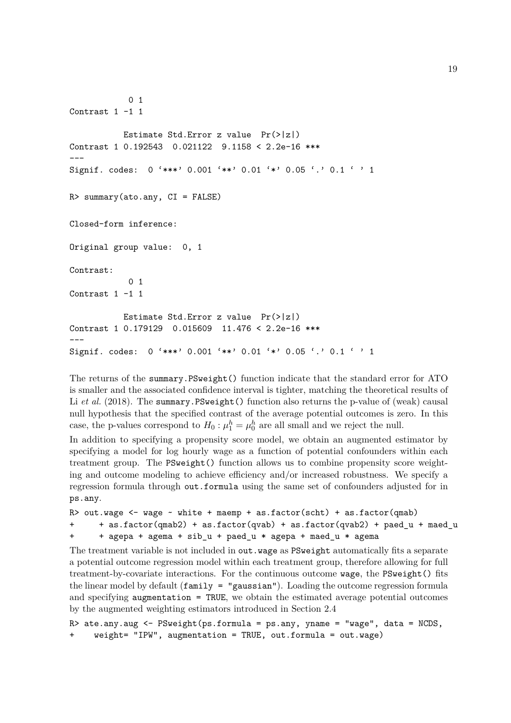```
0 1
Contrast 1 -1 1
           Estimate Std.Error z value Pr(>|z|)
Contrast 1 0.192543 0.021122 9.1158 < 2.2e-16 ***
---
Signif. codes: 0 '***' 0.001 '**' 0.01 '*' 0.05 '.' 0.1 ' ' 1
R> summary(ato.any, CI = FALSE)
Closed-form inference:
Original group value: 0, 1
Contrast:
            0 1
Contrast 1 -1 1
          Estimate Std.Error z value Pr(>|z|)
Contrast 1 0.179129 0.015609 11.476 < 2.2e-16 ***
---
Signif. codes: 0 '***' 0.001 '**' 0.01 '*' 0.05 '.' 0.1 ' ' 1
```
The returns of the summary.PSweight() function indicate that the standard error for ATO is smaller and the associated confidence interval is tighter, matching the theoretical results of Li *et al.* (2018). The summary.PSweight() function also returns the p-value of (weak) causal null hypothesis that the specified contrast of the average potential outcomes is zero. In this case, the p-values correspond to  $H_0: \mu_1^h = \mu_0^h$  are all small and we reject the null.

In addition to specifying a propensity score model, we obtain an augmented estimator by specifying a model for log hourly wage as a function of potential confounders within each treatment group. The PSweight() function allows us to combine propensity score weighting and outcome modeling to achieve efficiency and/or increased robustness. We specify a regression formula through out.formula using the same set of confounders adjusted for in ps.any.

```
R> out.wage <- wage \sim white + maemp + as.factor(scht) + as.factor(qmab)
      + as.factor(qmab2) + as.factor(qvab) + as.factor(qvab2) + paed_u + maed_u
+ + agepa + agema + sib_u + paed_u * agepa + maed_u * agema
```
The treatment variable is not included in out.wage as PSweight automatically fits a separate a potential outcome regression model within each treatment group, therefore allowing for full treatment-by-covariate interactions. For the continuous outcome wage, the PSweight() fits the linear model by default  $(family = "gaussian").$  Loading the outcome regression formula and specifying **augmentation** = TRUE, we obtain the estimated average potential outcomes by the augmented weighting estimators introduced in Section 2.4

```
R> ate.any.aug \leq PSweight(ps.formula = ps.any, yname = "wage", data = NCDS,
     weight = "IPW", augmentation = TRUE, out.format = out.value)
```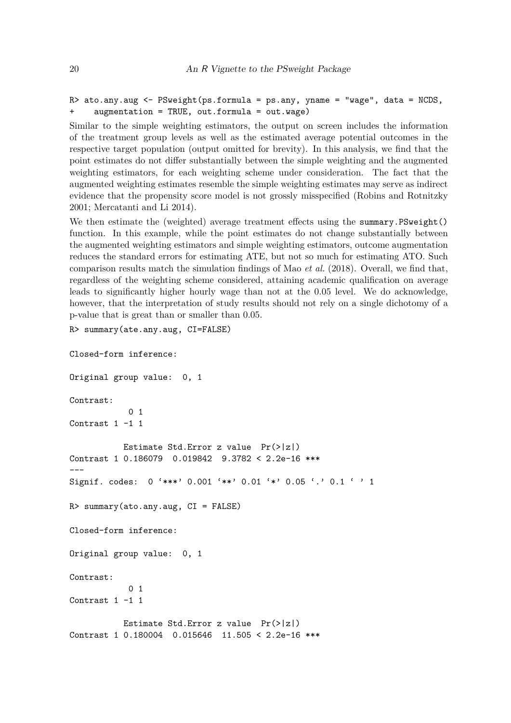```
R> ato.any.aug \leq PSweight(ps.formula = ps.any, yname = "wage", data = NCDS,
+ augmentation = TRUE, out.formula = out.wage)
```
Similar to the simple weighting estimators, the output on screen includes the information of the treatment group levels as well as the estimated average potential outcomes in the respective target population (output omitted for brevity). In this analysis, we find that the point estimates do not differ substantially between the simple weighting and the augmented weighting estimators, for each weighting scheme under consideration. The fact that the augmented weighting estimates resemble the simple weighting estimates may serve as indirect evidence that the propensity score model is not grossly misspecified (Robins and Rotnitzky 2001; Mercatanti and Li 2014).

We then estimate the (weighted) average treatment effects using the summary. PSweight() function. In this example, while the point estimates do not change substantially between the augmented weighting estimators and simple weighting estimators, outcome augmentation reduces the standard errors for estimating ATE, but not so much for estimating ATO. Such comparison results match the simulation findings of Mao *et al.* (2018). Overall, we find that, regardless of the weighting scheme considered, attaining academic qualification on average leads to significantly higher hourly wage than not at the 0*.*05 level. We do acknowledge, however, that the interpretation of study results should not rely on a single dichotomy of a p-value that is great than or smaller than 0*.*05.

```
R> summary(ate.any.aug, CI=FALSE)
```
Closed-form inference:

```
Original group value: 0, 1
Contrast:
            0 1
Contrast 1 -1 1
           Estimate Std.Error z value Pr(>|z|)Contrast 1 0.186079 0.019842 9.3782 < 2.2e-16 ***
---
Signif. codes: 0 '***' 0.001 '**' 0.01 '*' 0.05 '.' 0.1 ' ' 1
R> summary(ato.any.aug, CI = FALSE)
Closed-form inference:
Original group value: 0, 1
Contrast:
            0<sub>1</sub>Contrast 1 -1 1
           Estimate Std.Error z value Pr(>|z|)
Contrast 1 0.180004 0.015646 11.505 < 2.2e-16 ***
```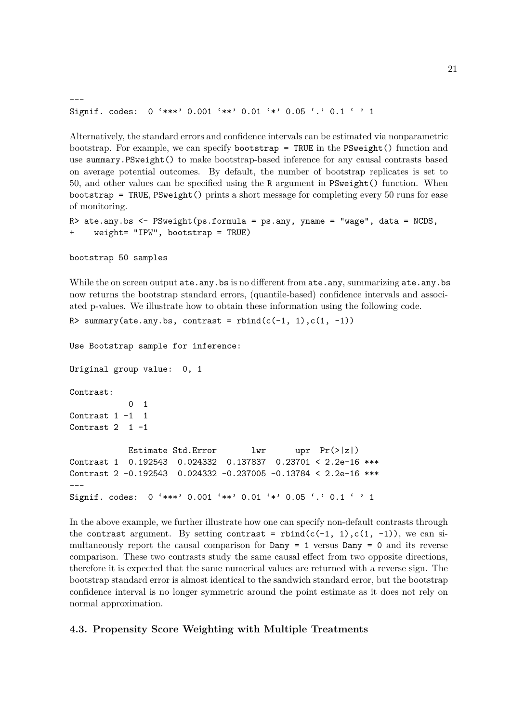```
---
Signif. codes: 0 '***' 0.001 '**' 0.01 '*' 0.05 '.' 0.1 ' ' 1
```
Alternatively, the standard errors and confidence intervals can be estimated via nonparametric bootstrap. For example, we can specify bootstrap = TRUE in the PSweight() function and use summary.PSweight() to make bootstrap-based inference for any causal contrasts based on average potential outcomes. By default, the number of bootstrap replicates is set to 50, and other values can be specified using the R argument in PSweight() function. When bootstrap = TRUE, PSweight() prints a short message for completing every 50 runs for ease of monitoring.

```
R> ate.any.bs <- PSweight(ps.formula = ps.any, yname = "wage", data = NCDS,
+ weight= "IPW", bootstrap = TRUE)
```
bootstrap 50 samples

While the on screen output ate.any.bs is no different from ate.any, summarizing ate.any.bs now returns the bootstrap standard errors, (quantile-based) confidence intervals and associated p-values. We illustrate how to obtain these information using the following code.

```
R> summary(ate.any.bs, contrast = rbind(c(-1, 1), c(1, -1))
```
Use Bootstrap sample for inference:

Original group value: 0, 1 Contrast: 0 1 Contrast 1 -1 1 Contrast  $2 \quad 1 \quad -1$ Estimate Std.Error lwr upr  $Pr(>|z|)$ Contrast 1 0.192543 0.024332 0.137837 0.23701 < 2.2e-16 \*\*\* Contrast 2 -0.192543 0.024332 -0.237005 -0.13784 < 2.2e-16 \*\*\* --- Signif. codes: 0 '\*\*\*' 0.001 '\*\*' 0.01 '\*' 0.05 '.' 0.1 ' ' 1

In the above example, we further illustrate how one can specify non-default contrasts through the contrast argument. By setting contrast = rbind(c(-1, 1),c(1, -1)), we can simultaneously report the causal comparison for  $Dany = 1$  versus  $Dany = 0$  and its reverse comparison. These two contrasts study the same causal effect from two opposite directions, therefore it is expected that the same numerical values are returned with a reverse sign. The bootstrap standard error is almost identical to the sandwich standard error, but the bootstrap confidence interval is no longer symmetric around the point estimate as it does not rely on normal approximation.

### **4.3. Propensity Score Weighting with Multiple Treatments**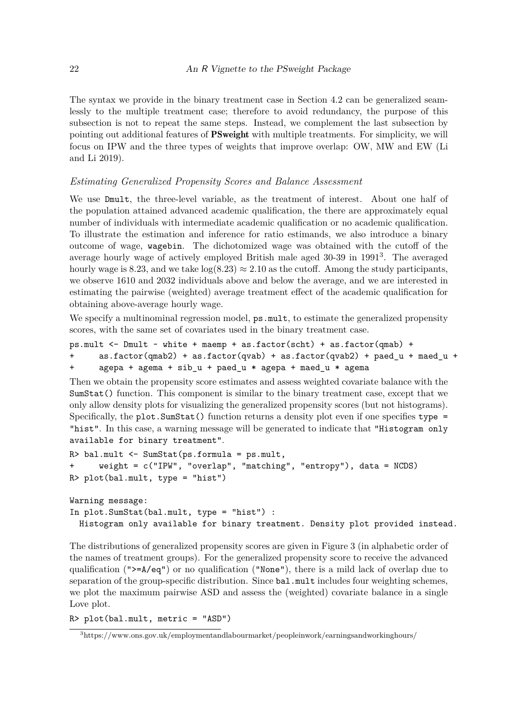The syntax we provide in the binary treatment case in Section 4.2 can be generalized seamlessly to the multiple treatment case; therefore to avoid redundancy, the purpose of this subsection is not to repeat the same steps. Instead, we complement the last subsection by pointing out additional features of PSweight with multiple treatments. For simplicity, we will focus on IPW and the three types of weights that improve overlap: OW, MW and EW (Li and Li 2019).

### *Estimating Generalized Propensity Scores and Balance Assessment*

We use Dmult, the three-level variable, as the treatment of interest. About one half of the population attained advanced academic qualification, the there are approximately equal number of individuals with intermediate academic qualification or no academic qualification. To illustrate the estimation and inference for ratio estimands, we also introduce a binary outcome of wage, wagebin. The dichotomized wage was obtained with the cutoff of the average hourly wage of actively employed British male aged 30-39 in 1991<sup>3</sup> . The averaged hourly wage is 8.23, and we take  $log(8.23) \approx 2.10$  as the cutoff. Among the study participants, we observe 1610 and 2032 individuals above and below the average, and we are interested in estimating the pairwise (weighted) average treatment effect of the academic qualification for obtaining above-average hourly wage.

We specify a multinominal regression model,  $ps \text{.mult}$ , to estimate the generalized propensity scores, with the same set of covariates used in the binary treatment case.

```
ps.mult \leq Dmult \sim white + maemp + as.factor(scht) + as.factor(qmab) +
```

```
\text{as.factor}(\text{qmab2}) + \text{as.factor}(\text{qvab}) + \text{as.factor}(\text{qvab2}) + \text{paed }u + maed u +
+ agepa + agema + sib_u + paed_u * agepa + maed_u * agema
```
Then we obtain the propensity score estimates and assess weighted covariate balance with the SumStat() function. This component is similar to the binary treatment case, except that we only allow density plots for visualizing the generalized propensity scores (but not histograms). Specifically, the plot. SumStat() function returns a density plot even if one specifies type = "hist". In this case, a warning message will be generated to indicate that "Histogram only available for binary treatment".

```
R> bal.mult <- SumStat(ps.formula = ps.mult,
+ weight = c("IPW", "overlap", "matching", "entropy"), data = NCDS)
R> plot(bal.mult, type = "hist")
```
Warning message: In plot.SumStat(bal.mult, type = "hist") : Histogram only available for binary treatment. Density plot provided instead.

The distributions of generalized propensity scores are given in Figure 3 (in alphabetic order of the names of treatment groups). For the generalized propensity score to receive the advanced qualification (" $>=A/eq$ ") or no qualification ("None"), there is a mild lack of overlap due to separation of the group-specific distribution. Since bal.mult includes four weighting schemes, we plot the maximum pairwise ASD and assess the (weighted) covariate balance in a single Love plot.

R> plot(bal.mult, metric = "ASD")

<sup>3</sup>https://www.ons.gov.uk/employmentandlabourmarket/peopleinwork/earningsandworkinghours/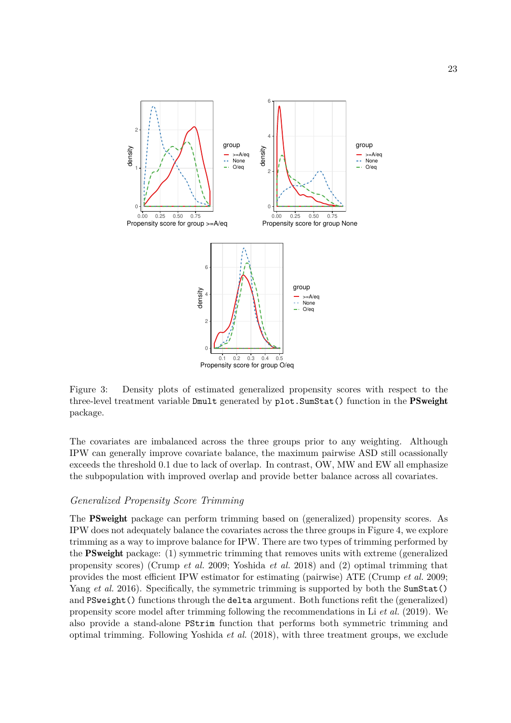

Figure 3: Density plots of estimated generalized propensity scores with respect to the three-level treatment variable Dmult generated by plot. SumStat() function in the PSweight package.

The covariates are imbalanced across the three groups prior to any weighting. Although IPW can generally improve covariate balance, the maximum pairwise ASD still ocassionally exceeds the threshold 0*.*1 due to lack of overlap. In contrast, OW, MW and EW all emphasize the subpopulation with improved overlap and provide better balance across all covariates.

### *Generalized Propensity Score Trimming*

The PSweight package can perform trimming based on (generalized) propensity scores. As IPW does not adequately balance the covariates across the three groups in Figure 4, we explore trimming as a way to improve balance for IPW. There are two types of trimming performed by the PSweight package: (1) symmetric trimming that removes units with extreme (generalized propensity scores) (Crump *et al.* 2009; Yoshida *et al.* 2018) and (2) optimal trimming that provides the most efficient IPW estimator for estimating (pairwise) ATE (Crump *et al.* 2009; Yang *et al.* 2016). Specifically, the symmetric trimming is supported by both the SumStat() and PSweight() functions through the delta argument. Both functions refit the (generalized) propensity score model after trimming following the recommendations in Li *et al.* (2019). We also provide a stand-alone PStrim function that performs both symmetric trimming and optimal trimming. Following Yoshida *et al.* (2018), with three treatment groups, we exclude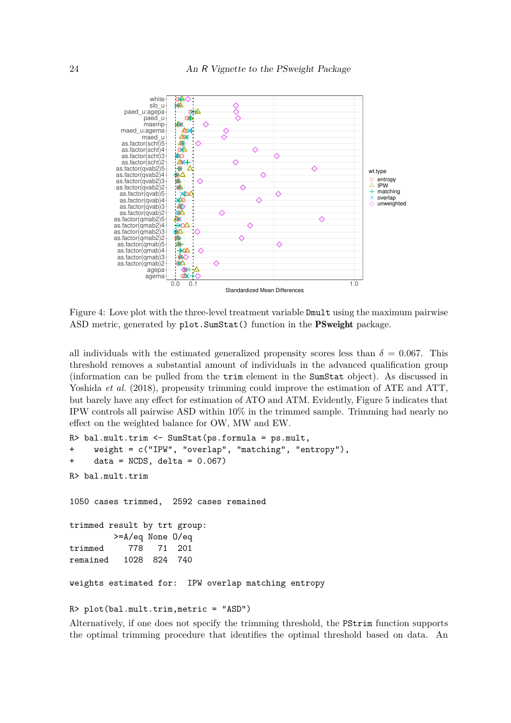

Figure 4: Love plot with the three-level treatment variable Dmult using the maximum pairwise ASD metric, generated by plot. SumStat() function in the PSweight package.

all individuals with the estimated generalized propensity scores less than  $\delta = 0.067$ . This threshold removes a substantial amount of individuals in the advanced qualification group (information can be pulled from the trim element in the SumStat object). As discussed in Yoshida *et al.* (2018), propensity trimming could improve the estimation of ATE and ATT, but barely have any effect for estimation of ATO and ATM. Evidently, Figure 5 indicates that IPW controls all pairwise ASD within 10% in the trimmed sample. Trimming had nearly no effect on the weighted balance for OW, MW and EW.

```
R> bal.mult.trim <- SumStat(ps.formula = ps.mult,
+ weight = c("IPW", "overlap", "matching", "entropy"),
+ data = NCDS, delta = 0.067)
R> bal.mult.trim
1050 cases trimmed, 2592 cases remained
trimmed result by trt group:
        >=A/eq None O/eq
trimmed 778 71 201
remained 1028 824 740
weights estimated for: IPW overlap matching entropy
```
R> plot(bal.mult.trim,metric = "ASD")

Alternatively, if one does not specify the trimming threshold, the PStrim function supports the optimal trimming procedure that identifies the optimal threshold based on data. An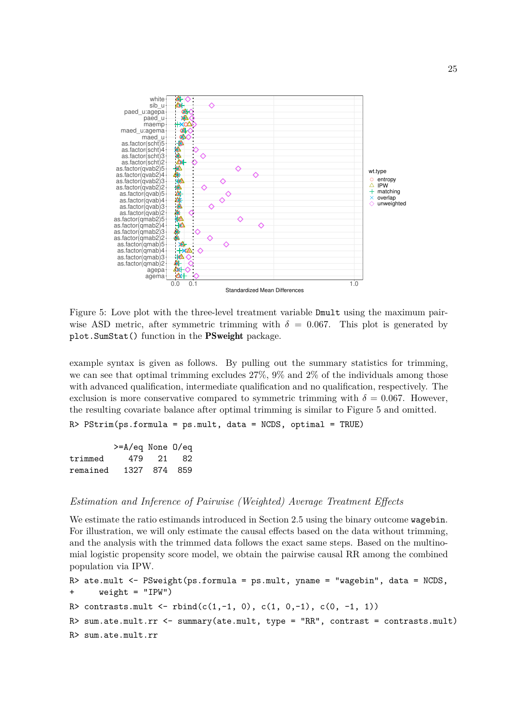

Figure 5: Love plot with the three-level treatment variable Dmult using the maximum pairwise ASD metric, after symmetric trimming with  $\delta = 0.067$ . This plot is generated by plot.SumStat() function in the PSweight package.

example syntax is given as follows. By pulling out the summary statistics for trimming, we can see that optimal trimming excludes 27%, 9% and 2% of the individuals among those with advanced qualification, intermediate qualification and no qualification, respectively. The exclusion is more conservative compared to symmetric trimming with  $\delta = 0.067$ . However, the resulting covariate balance after optimal trimming is similar to Figure 5 and omitted.

 $R$ > PStrim(ps.formula = ps.mult, data = NCDS, optimal = TRUE)

|          | $>= A/eq$ None $0/eq$ |              |
|----------|-----------------------|--------------|
| trimmed  |                       | 479 21 82    |
| remained |                       | 1327 874 859 |

### *Estimation and Inference of Pairwise (Weighted) Average Treatment Effects*

We estimate the ratio estimands introduced in Section 2.5 using the binary outcome **wagebin**. For illustration, we will only estimate the causal effects based on the data without trimming, and the analysis with the trimmed data follows the exact same steps. Based on the multinomial logistic propensity score model, we obtain the pairwise causal RR among the combined population via IPW.

```
R> ate.mult <- PSweight(ps, formula = ps.mult, yname = "wagebin", data = NCDS,+ weight = "IPW")
R> contrasts.mult <- rbind(c(1,-1, 0), c(1, 0,-1), c(0, -1, 1))
R> sum.ate.mult.rr <- summary(ate.mult, type = "RR", contrast = contrasts.mult)
R> sum.ate.mult.rr
```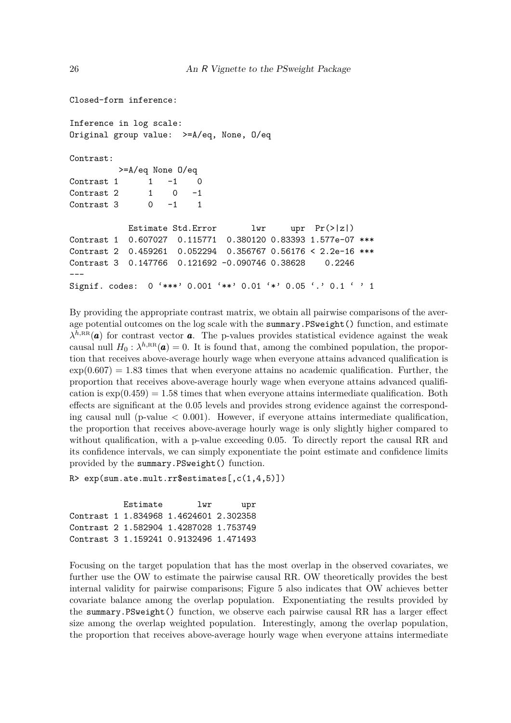```
Closed-form inference:
Inference in log scale:
Original group value: >=A/eq, None, O/eq
Contrast:
         >=A/eq None O/eq
Contrast 1 \t 1 \t -1 \t 0Contrast 2 1 0 -1Contrast 3 \t 0 \t -1 \t 1Estimate Std.Error lwr upr Pr(>|z|)
Contrast 1 0.607027 0.115771 0.380120 0.83393 1.577e-07 ***
Contrast 2 0.459261 0.052294 0.356767 0.56176 < 2.2e-16 ***
Contrast 3 0.147766 0.121692 -0.090746 0.38628 0.2246
---
Signif. codes: 0 '***' 0.001 '**' 0.01 '*' 0.05 '.' 0.1 ' ' 1
```
By providing the appropriate contrast matrix, we obtain all pairwise comparisons of the average potential outcomes on the log scale with the summary.PSweight() function, and estimate  $\lambda^{h,\text{RR}}(a)$  for contrast vector *a*. The p-values provides statistical evidence against the weak causal null  $H_0: \lambda^{h,\text{RR}}(a) = 0$ . It is found that, among the combined population, the proportion that receives above-average hourly wage when everyone attains advanced qualification is  $\exp(0.607) = 1.83$  times that when everyone attains no academic qualification. Further, the proportion that receives above-average hourly wage when everyone attains advanced qualification is  $\exp(0.459) = 1.58$  times that when everyone attains intermediate qualification. Both effects are significant at the 0*.*05 levels and provides strong evidence against the corresponding causal null ( $p$ -value  $\lt$  0.001). However, if everyone attains intermediate qualification, the proportion that receives above-average hourly wage is only slightly higher compared to without qualification, with a p-value exceeding 0.05. To directly report the causal RR and its confidence intervals, we can simply exponentiate the point estimate and confidence limits provided by the summary.PSweight() function.

```
R > exp(sum.ate.mult.rr$estimates[, c(1,4,5)])
```
Estimate lwr upr Contrast 1 1.834968 1.4624601 2.302358 Contrast 2 1.582904 1.4287028 1.753749 Contrast 3 1.159241 0.9132496 1.471493

Focusing on the target population that has the most overlap in the observed covariates, we further use the OW to estimate the pairwise causal RR. OW theoretically provides the best internal validity for pairwise comparisons; Figure 5 also indicates that OW achieves better covariate balance among the overlap population. Exponentiating the results provided by the summary.PSweight() function, we observe each pairwise causal RR has a larger effect size among the overlap weighted population. Interestingly, among the overlap population, the proportion that receives above-average hourly wage when everyone attains intermediate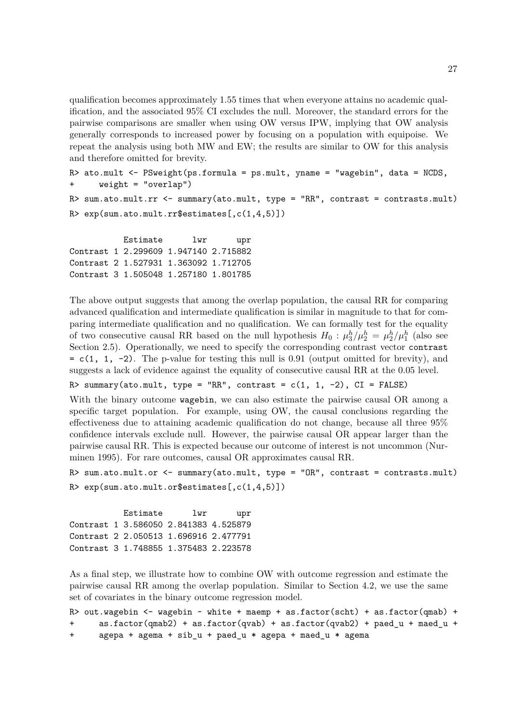qualification becomes approximately 1*.*55 times that when everyone attains no academic qualification, and the associated 95% CI excludes the null. Moreover, the standard errors for the pairwise comparisons are smaller when using OW versus IPW, implying that OW analysis generally corresponds to increased power by focusing on a population with equipoise. We repeat the analysis using both MW and EW; the results are similar to OW for this analysis and therefore omitted for brevity.

```
R> ato.mult <- PSweight(ps.formula = ps.mult, yname = "wagebin", data = NCDS,
+ weight = "overlap")
R> sum.ato.mult.rr <- summary(ato.mult, type = "RR", contrast = contrasts.mult)
R> exp(sum.ato.mult.rr$estimates[,c(1,4,5)])
```
Estimate lwr upr Contrast 1 2.299609 1.947140 2.715882 Contrast 2 1.527931 1.363092 1.712705 Contrast 3 1.505048 1.257180 1.801785

The above output suggests that among the overlap population, the causal RR for comparing advanced qualification and intermediate qualification is similar in magnitude to that for comparing intermediate qualification and no qualification. We can formally test for the equality of two consecutive causal RR based on the null hypothesis  $H_0: \mu_3^h/\mu_2^h = \mu_2^h/\mu_1^h$  (also see Section 2.5). Operationally, we need to specify the corresponding contrast vector contrast  $= c(1, 1, -2)$ . The p-value for testing this null is 0.91 (output omitted for brevity), and suggests a lack of evidence against the equality of consecutive causal RR at the 0*.*05 level.

R> summary(ato.mult, type = "RR", contrast =  $c(1, 1, -2)$ , CI = FALSE)

With the binary outcome wagebin, we can also estimate the pairwise causal OR among a specific target population. For example, using OW, the causal conclusions regarding the effectiveness due to attaining academic qualification do not change, because all three 95% confidence intervals exclude null. However, the pairwise causal OR appear larger than the pairwise causal RR. This is expected because our outcome of interest is not uncommon (Nurminen 1995). For rare outcomes, causal OR approximates causal RR.

```
R> sum.ato.mult.or <- summary(ato.mult, type = "OR", contrast = contrasts.mult)
R> exp(sum.ato.mult.or$estimates[,c(1,4,5)])
```
Estimate lwr upr Contrast 1 3.586050 2.841383 4.525879 Contrast 2 2.050513 1.696916 2.477791 Contrast 3 1.748855 1.375483 2.223578

As a final step, we illustrate how to combine OW with outcome regression and estimate the pairwise causal RR among the overlap population. Similar to Section 4.2, we use the same set of covariates in the binary outcome regression model.

```
R> out.wagebin <- wagebin \sim white + maemp + as.factor(scht) + as.factor(qmab) +
+ as.factor(qmab2) + as.factor(qvab) + as.factor(qvab2) + paed_u + maed_u +
+ agepa + agema + sib_u + paed_u * agepa + maed_u * agema
```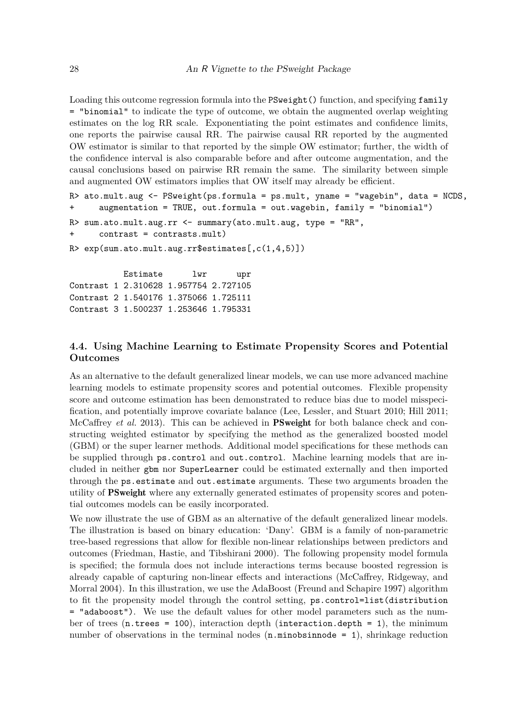Loading this outcome regression formula into the PSweight() function, and specifying family = "binomial" to indicate the type of outcome, we obtain the augmented overlap weighting estimates on the log RR scale. Exponentiating the point estimates and confidence limits, one reports the pairwise causal RR. The pairwise causal RR reported by the augmented OW estimator is similar to that reported by the simple OW estimator; further, the width of the confidence interval is also comparable before and after outcome augmentation, and the causal conclusions based on pairwise RR remain the same. The similarity between simple and augmented OW estimators implies that OW itself may already be efficient.

```
R> ato.mult.aug <- PSweight(ps.formula = ps.mult, yname = "wagebin", data = NCDS,
+ augmentation = TRUE, out.formula = out.wagebin, family = "binomial")
R> sum.ato.mult.aug.rr <- summary(ato.mult.aug, type = "RR",
+ contrast = contrasts.mult)
R> exp(sum.ato.mult.aug.rr$estimates[,c(1,4,5)])
          Estimate lwr upr
Contrast 1 2.310628 1.957754 2.727105
Contrast 2 1.540176 1.375066 1.725111
```
Contrast 3 1.500237 1.253646 1.795331

### **4.4. Using Machine Learning to Estimate Propensity Scores and Potential Outcomes**

As an alternative to the default generalized linear models, we can use more advanced machine learning models to estimate propensity scores and potential outcomes. Flexible propensity score and outcome estimation has been demonstrated to reduce bias due to model misspecification, and potentially improve covariate balance (Lee, Lessler, and Stuart 2010; Hill 2011; McCaffrey *et al.* 2013). This can be achieved in **PSweight** for both balance check and constructing weighted estimator by specifying the method as the generalized boosted model (GBM) or the super learner methods. Additional model specifications for these methods can be supplied through ps.control and out.control. Machine learning models that are included in neither gbm nor SuperLearner could be estimated externally and then imported through the ps.estimate and out.estimate arguments. These two arguments broaden the utility of PSweight where any externally generated estimates of propensity scores and potential outcomes models can be easily incorporated.

We now illustrate the use of GBM as an alternative of the default generalized linear models. The illustration is based on binary education: 'Dany'. GBM is a family of non-parametric tree-based regressions that allow for flexible non-linear relationships between predictors and outcomes (Friedman, Hastie, and Tibshirani 2000). The following propensity model formula is specified; the formula does not include interactions terms because boosted regression is already capable of capturing non-linear effects and interactions (McCaffrey, Ridgeway, and Morral 2004). In this illustration, we use the AdaBoost (Freund and Schapire 1997) algorithm to fit the propensity model through the control setting, ps.control=list(distribution = "adaboost"). We use the default values for other model parameters such as the number of trees  $(n.$ trees = 100), interaction depth (interaction.depth = 1), the minimum number of observations in the terminal nodes  $(n.minobsinnode = 1)$ , shrinkage reduction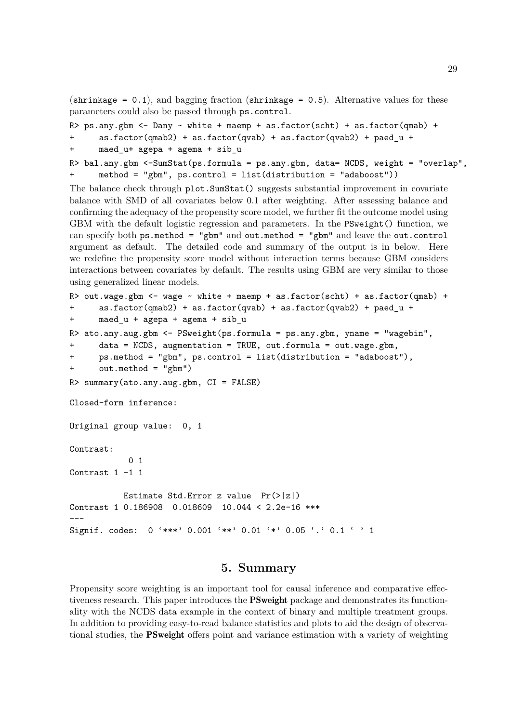(shrinkage =  $0.1$ ), and bagging fraction (shrinkage =  $0.5$ ). Alternative values for these parameters could also be passed through ps.control.

```
R> ps.any.gbm <- Dany ~ white + maemp + as.factor(scht) + as.factor(qmab) +
+ as.factor(qmab2) + as.factor(qvab) + as.factor(qvab2) + paed_u +
+ maed_u+ agepa + agema + sib_u
R> bal.any.gbm <-SumStat(ps.formula = ps.any.gbm, data= NCDS, weight = "overlap",
+ method = "gbm", ps.control = list(distribution = "adaboost"))
```
The balance check through plot.SumStat() suggests substantial improvement in covariate balance with SMD of all covariates below 0.1 after weighting. After assessing balance and confirming the adequacy of the propensity score model, we further fit the outcome model using GBM with the default logistic regression and parameters. In the PSweight() function, we can specify both  $ps$ .method = "gbm" and out.method = "gbm" and leave the out.control argument as default. The detailed code and summary of the output is in below. Here we redefine the propensity score model without interaction terms because GBM considers interactions between covariates by default. The results using GBM are very similar to those using generalized linear models.

```
R> out.wage.gbm \le - wage \sim white + maemp + as.factor(scht) + as.factor(qmab) +
+ as.factor(qmab2) + as.factor(qvab) + as.factor(qvab2) + paed_u +
+ maed_u + agepa + agema + sib_u
R> ato.any.aug.gbm <- PSweight(ps.formula = ps.any.gbm, yname = "wagebin",
+ data = NCDS, augmentation = TRUE, out.formula = out.wage.gbm,
+ ps.method = "gbm", ps.control = list(distribution = "adaboost"),
+ out.method = "gbm")
R> summary(ato.any.aug.gbm, CI = FALSE)
Closed-form inference:
Original group value: 0, 1
Contrast:
           0 1
Contrast 1 -1 1
          Estimate Std.Error z value Pr(>|z|)
Contrast 1 0.186908 0.018609 10.044 < 2.2e-16 ***
---
Signif. codes: 0 '***' 0.001 '**' 0.01 '*' 0.05 '.' 0.1 ' ' 1
```
### **5. Summary**

Propensity score weighting is an important tool for causal inference and comparative effectiveness research. This paper introduces the PSweight package and demonstrates its functionality with the NCDS data example in the context of binary and multiple treatment groups. In addition to providing easy-to-read balance statistics and plots to aid the design of observational studies, the **PSweight** offers point and variance estimation with a variety of weighting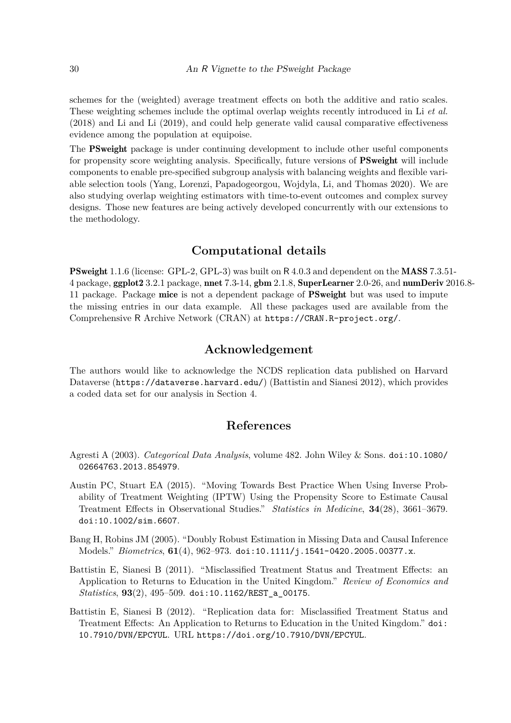schemes for the (weighted) average treatment effects on both the additive and ratio scales. These weighting schemes include the optimal overlap weights recently introduced in Li *et al.* (2018) and Li and Li (2019), and could help generate valid causal comparative effectiveness evidence among the population at equipoise.

The **PS weight** package is under continuing development to include other useful components for propensity score weighting analysis. Specifically, future versions of PSweight will include components to enable pre-specified subgroup analysis with balancing weights and flexible variable selection tools (Yang, Lorenzi, Papadogeorgou, Wojdyla, Li, and Thomas 2020). We are also studying overlap weighting estimators with time-to-event outcomes and complex survey designs. Those new features are being actively developed concurrently with our extensions to the methodology.

## **Computational details**

**PSweight** 1.1.6 (license: GPL-2, GPL-3) was built on R 4.0.3 and dependent on the **MASS** 7.3.51-4 package, ggplot2 3.2.1 package, nnet 7.3-14, gbm 2.1.8, SuperLearner 2.0-26, and numDeriv 2016.8- 11 package. Package mice is not a dependent package of PSweight but was used to impute the missing entries in our data example. All these packages used are available from the Comprehensive R Archive Network (CRAN) at https://CRAN.R-project.org/.

## **Acknowledgement**

The authors would like to acknowledge the NCDS replication data published on Harvard Dataverse (https://dataverse.harvard.edu/) (Battistin and Sianesi 2012), which provides a coded data set for our analysis in Section 4.

### **References**

- Agresti A (2003). *Categorical Data Analysis*, volume 482. John Wiley & Sons. doi:10.1080/ 02664763.2013.854979.
- Austin PC, Stuart EA (2015). "Moving Towards Best Practice When Using Inverse Probability of Treatment Weighting (IPTW) Using the Propensity Score to Estimate Causal Treatment Effects in Observational Studies." *Statistics in Medicine*, **34**(28), 3661–3679. doi:10.1002/sim.6607.
- Bang H, Robins JM (2005). "Doubly Robust Estimation in Missing Data and Causal Inference Models." *Biometrics*, **61**(4), 962–973. doi:10.1111/j.1541-0420.2005.00377.x.
- Battistin E, Sianesi B (2011). "Misclassified Treatment Status and Treatment Effects: an Application to Returns to Education in the United Kingdom." *Review of Economics and Statistics*, **93**(2), 495–509. doi:10.1162/REST\_a\_00175.
- Battistin E, Sianesi B (2012). "Replication data for: Misclassified Treatment Status and Treatment Effects: An Application to Returns to Education in the United Kingdom." doi: 10.7910/DVN/EPCYUL. URL https://doi.org/10.7910/DVN/EPCYUL.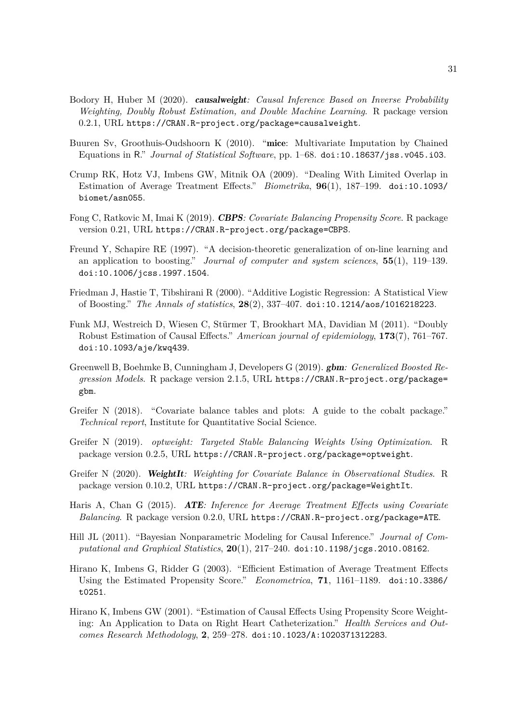- Bodory H, Huber M (2020). causalweight*: Causal Inference Based on Inverse Probability Weighting, Doubly Robust Estimation, and Double Machine Learning*. R package version 0.2.1, URL https://CRAN.R-project.org/package=causalweight.
- Buuren Sv, Groothuis-Oudshoorn K (2010). "mice: Multivariate Imputation by Chained Equations in R." *Journal of Statistical Software*, pp. 1–68. doi:10.18637/jss.v045.i03.
- Crump RK, Hotz VJ, Imbens GW, Mitnik OA (2009). "Dealing With Limited Overlap in Estimation of Average Treatment Effects." *Biometrika*, **96**(1), 187–199. doi:10.1093/ biomet/asn055.
- Fong C, Ratkovic M, Imai K (2019). CBPS*: Covariate Balancing Propensity Score*. R package version 0.21, URL https://CRAN.R-project.org/package=CBPS.
- Freund Y, Schapire RE (1997). "A decision-theoretic generalization of on-line learning and an application to boosting." *Journal of computer and system sciences*, **55**(1), 119–139. doi:10.1006/jcss.1997.1504.
- Friedman J, Hastie T, Tibshirani R (2000). "Additive Logistic Regression: A Statistical View of Boosting." *The Annals of statistics*, **28**(2), 337–407. doi:10.1214/aos/1016218223.
- Funk MJ, Westreich D, Wiesen C, Stürmer T, Brookhart MA, Davidian M (2011). "Doubly Robust Estimation of Causal Effects." *American journal of epidemiology*, **173**(7), 761–767. doi:10.1093/aje/kwq439.
- Greenwell B, Boehmke B, Cunningham J, Developers G (2019). gbm*: Generalized Boosted Regression Models*. R package version 2.1.5, URL https://CRAN.R-project.org/package= gbm.
- Greifer N (2018). "Covariate balance tables and plots: A guide to the cobalt package." *Technical report*, Institute for Quantitative Social Science.
- Greifer N (2019). *optweight: Targeted Stable Balancing Weights Using Optimization*. R package version 0.2.5, URL https://CRAN.R-project.org/package=optweight.
- Greifer N (2020). WeightIt*: Weighting for Covariate Balance in Observational Studies*. R package version 0.10.2, URL https://CRAN.R-project.org/package=WeightIt.
- Haris A, Chan G (2015). ATE*: Inference for Average Treatment Effects using Covariate Balancing*. R package version 0.2.0, URL https://CRAN.R-project.org/package=ATE.
- Hill JL (2011). "Bayesian Nonparametric Modeling for Causal Inference." *Journal of Computational and Graphical Statistics*, **20**(1), 217–240. doi:10.1198/jcgs.2010.08162.
- Hirano K, Imbens G, Ridder G (2003). "Efficient Estimation of Average Treatment Effects Using the Estimated Propensity Score." *Econometrica*, **71**, 1161–1189. doi:10.3386/ t0251.
- Hirano K, Imbens GW (2001). "Estimation of Causal Effects Using Propensity Score Weighting: An Application to Data on Right Heart Catheterization." *Health Services and Outcomes Research Methodology*, **2**, 259–278. doi:10.1023/A:1020371312283.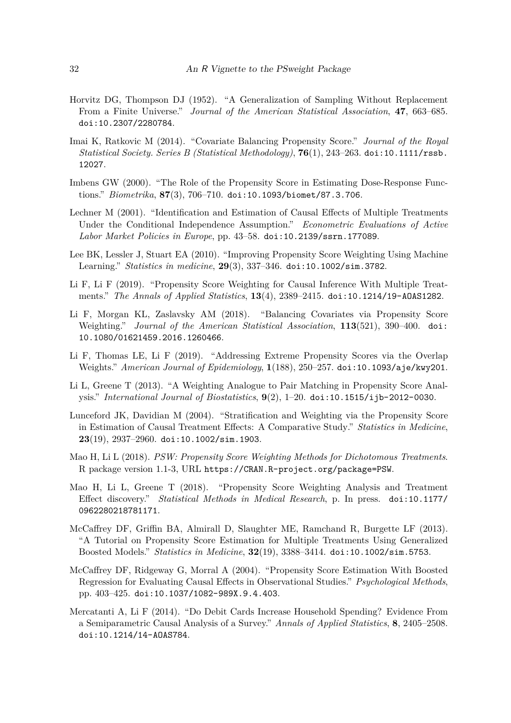- Horvitz DG, Thompson DJ (1952). "A Generalization of Sampling Without Replacement From a Finite Universe." *Journal of the American Statistical Association*, **47**, 663–685. doi:10.2307/2280784.
- Imai K, Ratkovic M (2014). "Covariate Balancing Propensity Score." *Journal of the Royal Statistical Society. Series B (Statistical Methodology)*, **76**(1), 243–263. doi:10.1111/rssb. 12027.
- Imbens GW (2000). "The Role of the Propensity Score in Estimating Dose-Response Functions." *Biometrika*, **87**(3), 706–710. doi:10.1093/biomet/87.3.706.
- Lechner M (2001). "Identification and Estimation of Causal Effects of Multiple Treatments Under the Conditional Independence Assumption." *Econometric Evaluations of Active Labor Market Policies in Europe*, pp. 43–58. doi:10.2139/ssrn.177089.
- Lee BK, Lessler J, Stuart EA (2010). "Improving Propensity Score Weighting Using Machine Learning." *Statistics in medicine*, **29**(3), 337–346. doi:10.1002/sim.3782.
- Li F, Li F (2019). "Propensity Score Weighting for Causal Inference With Multiple Treatments." *The Annals of Applied Statistics*, **13**(4), 2389–2415. doi:10.1214/19-AOAS1282.
- Li F, Morgan KL, Zaslavsky AM (2018). "Balancing Covariates via Propensity Score Weighting." *Journal of the American Statistical Association*, **113**(521), 390–400. doi: 10.1080/01621459.2016.1260466.
- Li F, Thomas LE, Li F (2019). "Addressing Extreme Propensity Scores via the Overlap Weights." *American Journal of Epidemiology*, **1**(188), 250–257. doi:10.1093/aje/kwy201.
- Li L, Greene T (2013). "A Weighting Analogue to Pair Matching in Propensity Score Analysis." *International Journal of Biostatistics*, **9**(2), 1–20. doi:10.1515/ijb-2012-0030.
- Lunceford JK, Davidian M (2004). "Stratification and Weighting via the Propensity Score in Estimation of Causal Treatment Effects: A Comparative Study." *Statistics in Medicine*, **23**(19), 2937–2960. doi:10.1002/sim.1903.
- Mao H, Li L (2018). *PSW: Propensity Score Weighting Methods for Dichotomous Treatments*. R package version 1.1-3, URL https://CRAN.R-project.org/package=PSW.
- Mao H, Li L, Greene T (2018). "Propensity Score Weighting Analysis and Treatment Effect discovery." *Statistical Methods in Medical Research*, p. In press. doi:10.1177/ 0962280218781171.
- McCaffrey DF, Griffin BA, Almirall D, Slaughter ME, Ramchand R, Burgette LF (2013). "A Tutorial on Propensity Score Estimation for Multiple Treatments Using Generalized Boosted Models." *Statistics in Medicine*, **32**(19), 3388–3414. doi:10.1002/sim.5753.
- McCaffrey DF, Ridgeway G, Morral A (2004). "Propensity Score Estimation With Boosted Regression for Evaluating Causal Effects in Observational Studies." *Psychological Methods*, pp. 403–425. doi:10.1037/1082-989X.9.4.403.
- Mercatanti A, Li F (2014). "Do Debit Cards Increase Household Spending? Evidence From a Semiparametric Causal Analysis of a Survey." *Annals of Applied Statistics*, **8**, 2405–2508. doi:10.1214/14-AOAS784.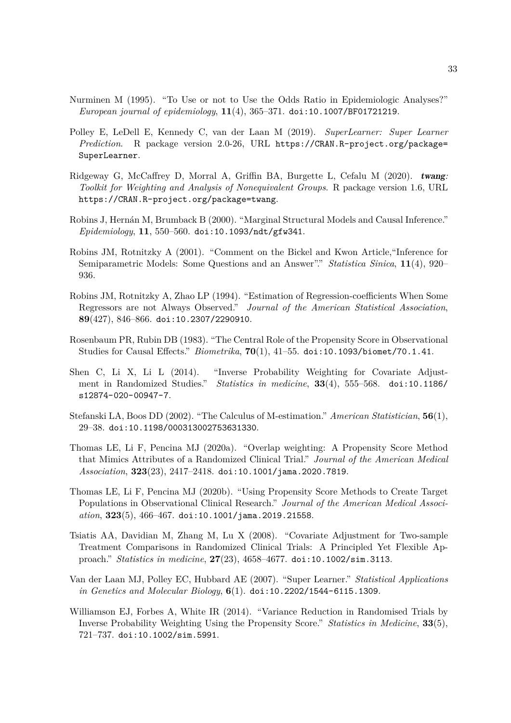- Nurminen M (1995). "To Use or not to Use the Odds Ratio in Epidemiologic Analyses?" *European journal of epidemiology*, **11**(4), 365–371. doi:10.1007/BF01721219.
- Polley E, LeDell E, Kennedy C, van der Laan M (2019). *SuperLearner: Super Learner Prediction*. R package version 2.0-26, URL https://CRAN.R-project.org/package= SuperLearner.
- Ridgeway G, McCaffrey D, Morral A, Griffin BA, Burgette L, Cefalu M (2020). twang*: Toolkit for Weighting and Analysis of Nonequivalent Groups*. R package version 1.6, URL https://CRAN.R-project.org/package=twang.
- Robins J, Hernán M, Brumback B (2000). "Marginal Structural Models and Causal Inference." *Epidemiology*, **11**, 550–560. doi:10.1093/ndt/gfw341.
- Robins JM, Rotnitzky A (2001). "Comment on the Bickel and Kwon Article,"Inference for Semiparametric Models: Some Questions and an Answer"." *Statistica Sinica*, **11**(4), 920– 936.
- Robins JM, Rotnitzky A, Zhao LP (1994). "Estimation of Regression-coefficients When Some Regressors are not Always Observed." *Journal of the American Statistical Association*, **89**(427), 846–866. doi:10.2307/2290910.
- Rosenbaum PR, Rubin DB (1983). "The Central Role of the Propensity Score in Observational Studies for Causal Effects." *Biometrika*, **70**(1), 41–55. doi:10.1093/biomet/70.1.41.
- Shen C, Li X, Li L (2014). "Inverse Probability Weighting for Covariate Adjustment in Randomized Studies." *Statistics in medicine*, **33**(4), 555–568. doi:10.1186/ s12874-020-00947-7.
- Stefanski LA, Boos DD (2002). "The Calculus of M-estimation." *American Statistician*, **56**(1), 29–38. doi:10.1198/000313002753631330.
- Thomas LE, Li F, Pencina MJ (2020a). "Overlap weighting: A Propensity Score Method that Mimics Attributes of a Randomized Clinical Trial." *Journal of the American Medical Association*, **323**(23), 2417–2418. doi:10.1001/jama.2020.7819.
- Thomas LE, Li F, Pencina MJ (2020b). "Using Propensity Score Methods to Create Target Populations in Observational Clinical Research." *Journal of the American Medical Association*, **323**(5), 466–467. doi:10.1001/jama.2019.21558.
- Tsiatis AA, Davidian M, Zhang M, Lu X (2008). "Covariate Adjustment for Two-sample Treatment Comparisons in Randomized Clinical Trials: A Principled Yet Flexible Approach." *Statistics in medicine*, **27**(23), 4658–4677. doi:10.1002/sim.3113.
- Van der Laan MJ, Polley EC, Hubbard AE (2007). "Super Learner." *Statistical Applications in Genetics and Molecular Biology*, **6**(1). doi:10.2202/1544-6115.1309.
- Williamson EJ, Forbes A, White IR (2014). "Variance Reduction in Randomised Trials by Inverse Probability Weighting Using the Propensity Score." *Statistics in Medicine*, **33**(5), 721–737. doi:10.1002/sim.5991.